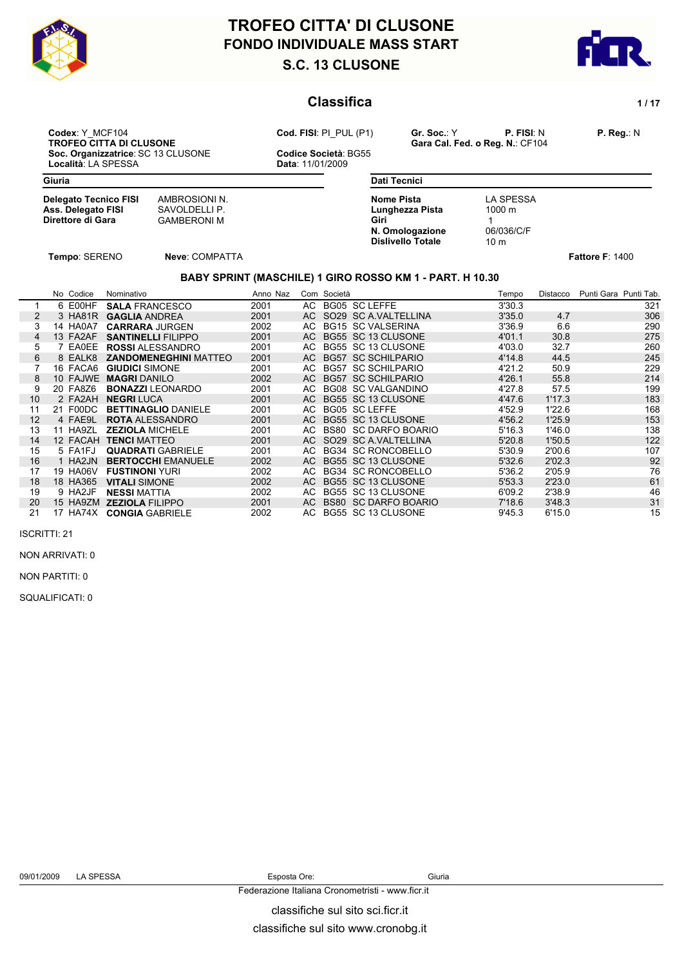

# **S.C. 13 CLUSONE FONDO INDIVIDUALE MASS START TROFEO CITTA' DI CLUSONE**



### **Classifica** 1/17

**Codex**: Y\_MCF104 **P. Reg.: N**<br> **Cod. FISI**: PI\_PUL (P1) **Gr. Soc.: Y P. FISI**: N **P. Reg.: N**<br>
Gara Cal. Fed. o Reg. N.: CF104 **Soc. Organizzatrice**: SC 13 CLUSONE **Codice Società**: Località: LA SPESSA **CODICAL ENCLUSONE** Località: LA SPESSA

**TROFEO CITTA DI CALCULTE DI CONSTRUENTE DI CONSTRUENCE CONSTRUENCE CONSTRUENCE CONSTRUENCE CONSTRUENCE CONSTRUENCE CONSTRUENCE CONSTRUENCE CONSTRUENCE CONSTRUENCE CONSTRUENCE CONSTRUENCE CONSTRUENCE CONSTRUENCE CONSTRUENC** 

**Delegato Tecnico FISI** AMBROSIONI N.<br> **Ass. Delegato FISI** SAVOLDELLI P. **Ass. Delegato FISI<br>Direttore di Gara** 

**CAMBERONI M** GAMBERONI M

**Dati Tecnici Nome Pista** LA SPESSA<br> **Lunghezza Pista** 1000 m **Lunghezza Pista Giri** 1 **1 N. Omologazione** 06/036/C/F<br>**Dislivello Totale** 10 m **Dislivello Totale** 

**Tempo**: SERENO **Neve**: COMPATTA **Fattore F**: 1400

#### **BABY SPRINT (MASCHILE) 1 GIRO ROSSO KM 1 - PART. H 10.30**

|                | No Codice | Nominativo                   | Anno Naz |      | Com Società |                           | Tempo  | Distacco | Punti Gara Punti Tab. |
|----------------|-----------|------------------------------|----------|------|-------------|---------------------------|--------|----------|-----------------------|
|                | 6 E00HF   | <b>SALA FRANCESCO</b>        | 2001     |      |             | AC BG05 SC LEFFE          | 3'30.3 |          | 321                   |
|                | 3 HA81R   | <b>GAGLIA ANDREA</b>         | 2001     | AC . |             | SO29 SC A VALTELLINA      | 3'35.0 | 4.7      | 306                   |
| 3              | 14 HA0A7  | <b>CARRARA JURGEN</b>        | 2002     | AC . |             | <b>BG15 SC VALSERINA</b>  | 3'36.9 | 6.6      | 290                   |
| $\overline{4}$ | 13 FA2AF  | <b>SANTINELLI FILIPPO</b>    | 2001     | AC . |             | BG55 SC 13 CLUSONE        | 4'01.1 | 30.8     | 275                   |
| 5              | 7 EA0EE   | <b>ROSSI ALESSANDRO</b>      | 2001     |      |             | AC BG55 SC 13 CLUSONE     | 4'03.0 | 32.7     | 260                   |
| 6              | 8 EALK8   | <b>ZANDOMENEGHINI MATTEO</b> | 2001     | AC . |             | <b>BG57 SC SCHILPARIO</b> | 4'14.8 | 44.5     | 245                   |
|                | 16 FACA6  | <b>GIUDICI SIMONE</b>        | 2001     | AC   |             | BG57 SC SCHILPARIO        | 4'21.2 | 50.9     | 229                   |
| 8              | 10 FAJWE  | <b>MAGRI DANILO</b>          | 2002     | AC . |             | <b>BG57 SC SCHILPARIO</b> | 4'26.1 | 55.8     | 214                   |
|                | 20 FA8Z6  | <b>BONAZZI</b> LEONARDO      | 2001     | AC   |             | <b>BG08 SC VALGANDINO</b> | 4'27.8 | 57.5     | 199                   |
| 10             | 2 FA2AH   | <b>NEGRILUCA</b>             | 2001     | AC . |             | BG55 SC 13 CLUSONE        | 4'47.6 | 1'17.3   | 183                   |
| 11             | 21 F00DC  | <b>BETTINAGLIO DANIELE</b>   | 2001     |      |             | AC BG05 SC LEFFE          | 4'52.9 | 1'22.6   | 168                   |
| 12             | 4 FAE9L   | <b>ROTA ALESSANDRO</b>       | 2001     | AC . |             | BG55 SC 13 CLUSONE        | 4'56.2 | 1'25.9   | 153                   |
| 13             | 11 HA9ZL  | <b>ZEZIOLA MICHELE</b>       | 2001     | AC   |             | BS80 SC DARFO BOARIO      | 5'16.3 | 1'46.0   | 138                   |
| 14             | 12 FACAH  | <b>TENCI MATTEO</b>          | 2001     | AC . |             | SO29 SC A.VALTELLINA      | 5'20.8 | 1'50.5   | 122                   |
| 15             | 5 FA1FJ   | <b>QUADRATI GABRIELE</b>     | 2001     |      |             | AC BG34 SC RONCOBELLO     | 5'30.9 | 2'00.6   | 107                   |
| 16             | 1 HA2JN   | <b>BERTOCCHI EMANUELE</b>    | 2002     | AC . |             | BG55 SC 13 CLUSONE        | 5'32.6 | 2'02.3   | 92                    |
| 17             | 19 HA06V  | <b>FUSTINONI YURI</b>        | 2002     | AC   |             | BG34 SC RONCOBELLO        | 5'36.2 | 2'05.9   | 76                    |
| 18             | 18 HA365  | <b>VITALI SIMONE</b>         | 2002     | AC   |             | BG55 SC 13 CLUSONE        | 5'53.3 | 2'23.0   | 61                    |
| 19             | 9 HA2JF   | <b>NESSI MATTIA</b>          | 2002     | AC.  |             | BG55 SC 13 CLUSONE        | 6'09.2 | 2'38.9   | 46                    |
| 20             | 15 HA9ZM  | <b>ZEZIOLA FILIPPO</b>       | 2001     | AC.  |             | BS80 SC DARFO BOARIO      | 7'18.6 | 3'48.3   | 31                    |
| 21             | 17 HA74X  | <b>CONGIA GABRIELE</b>       | 2002     | AC.  |             | BG55 SC 13 CLUSONE        | 9'45.3 | 6'15.0   | 15                    |

ISCRITTI: 21

NON ARRIVATI: 0

NON PARTITI: 0

SQUALIFICATI: 0

classifiche sul sito sci.ficr.it Federazione Italiana Cronometristi - www.ficr.it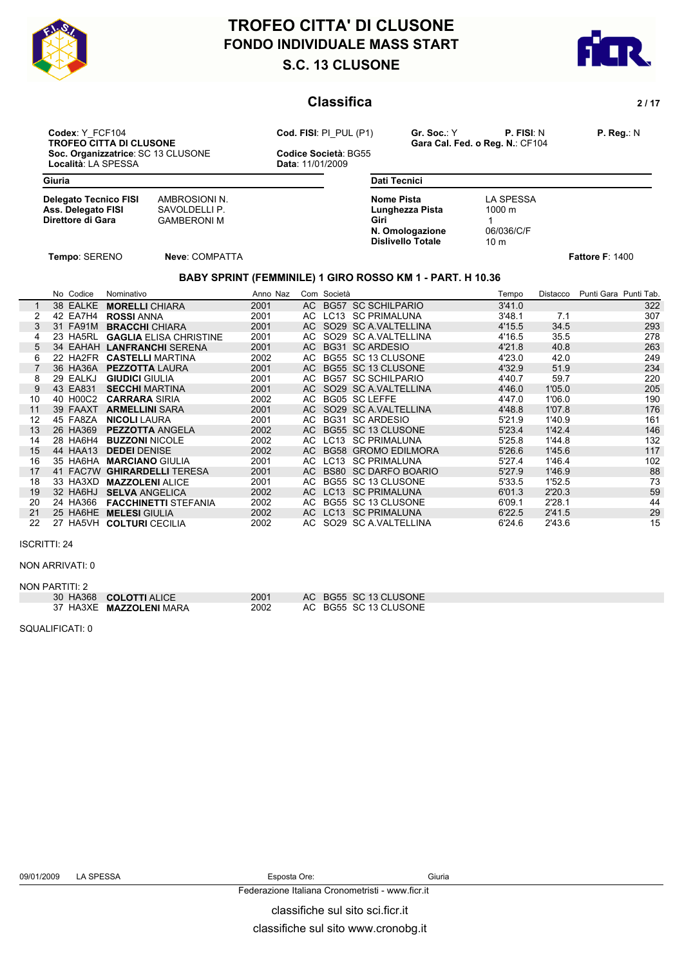



### **Classifica** 2/17

**Codex**: Y\_FCF104 **Cod. FISI**: PI\_PUL (P1) **Gr. Soc.**: Y **P. FISI**: N **P. Reg.**: N **Soc. Organizzatrice**: SC 13 CLUSONE **Codice Società**: Località: LA SPESSA **CODICAL ENCLUSONE** Località: LA SPESSA

**TROFESCH CONSERVANT CALCUST CALCUS CARGAGE CALCUS CODE:**<br>Codice Società: BG55

**Giuria**

| <b>Delegato Tecnico FISI</b> | AMBROSIONI N.      |
|------------------------------|--------------------|
| Ass. Delegato FISI           | SAVOLDELLI P.      |
| Direttore di Gara            | <b>GAMBERONI M</b> |

**Direttore di Gara** GAMBERONI M

| Dati Tecnici             |                  |  |
|--------------------------|------------------|--|
| Nome Pista               | LA SPESSA        |  |
| Lunghezza Pista          | $1000 \;{\rm m}$ |  |
| Giri                     |                  |  |
| N. Omologazione          | 06/036/C/F       |  |
| <b>Dislivello Totale</b> | 10 <sub>m</sub>  |  |

**Tempo**: SERENO **Neve**: COMPATTA **Fattore F**: 1400

### **BABY SPRINT (FEMMINILE) 1 GIRO ROSSO KM 1 - PART. H 10.36**

|                |    | No Codice | Nominativo                    | Anno Naz |      | Com Società |                             | Tempo  | Distacco | Punti Gara Punti Tab. |
|----------------|----|-----------|-------------------------------|----------|------|-------------|-----------------------------|--------|----------|-----------------------|
|                |    | 38 EALKE  | <b>MORELLI CHIARA</b>         | 2001     |      |             | AC BG57 SC SCHILPARIO       | 3'41.0 |          | 322                   |
|                |    | 42 EA7H4  | <b>ROSSI ANNA</b>             | 2001     |      |             | AC LC13 SC PRIMALUNA        | 3'48.1 | 7.1      | 307                   |
| 3              | 31 | FA91M     | <b>BRACCHI</b> CHIARA         | 2001     |      |             | AC SO29 SC A VALTELLINA     | 4'15.5 | 34.5     | 293                   |
| 4              |    | 23 HA5RL  | <b>GAGLIA ELISA CHRISTINE</b> | 2001     | AC   |             | SO29 SC A VALTELLINA        | 4'16.5 | 35.5     | 278                   |
| $\overline{5}$ |    | 34 EAHAH  | <b>LANFRANCHI SERENA</b>      | 2001     |      |             | AC BG31 SC ARDESIO          | 4'21.8 | 40.8     | 263                   |
| 6              |    | 22 HA2FR  | <b>CASTELLI MARTINA</b>       | 2002     | AC.  |             | BG55 SC 13 CLUSONE          | 4'23.0 | 42.0     | 249                   |
|                |    | 36 HA36A  | <b>PEZZOTTA LAURA</b>         | 2001     |      |             | AC BG55 SC 13 CLUSONE       | 4'32.9 | 51.9     | 234                   |
| 8              |    | 29 EALKJ  | <b>GIUDICI</b> GIULIA         | 2001     | AC   |             | <b>BG57 SC SCHILPARIO</b>   | 4'40.7 | 59.7     | 220                   |
| 9              |    | 43 EA831  | <b>SECCHI MARTINA</b>         | 2001     |      |             | AC SO29 SC A VALTELLINA     | 4'46.0 | 1'05.0   | 205                   |
| 10             |    | 40 H00C2  | <b>CARRARA SIRIA</b>          | 2002     |      |             | AC BG05 SC LEFFE            | 4'47.0 | 1'06.0   | 190                   |
| 11             |    | 39 FAAXT  | <b>ARMELLINI SARA</b>         | 2001     |      |             | AC SO29 SC A VALTELLINA     | 4'48.8 | 1'07.8   | 176                   |
| 12             |    | 45 FA8ZA  | <b>NICOLI</b> LAURA           | 2001     |      |             | AC BG31 SC ARDESIO          | 5'21.9 | 1'40.9   | 161                   |
| 13             |    | 26 HA369  | <b>PEZZOTTA ANGELA</b>        | 2002     |      |             | AC BG55 SC 13 CLUSONE       | 5'23.4 | 1'42.4   | 146                   |
| 14             |    | 28 HA6H4  | <b>BUZZONI NICOLE</b>         | 2002     |      |             | AC LC13 SC PRIMALUNA        | 5'25.8 | 1'44.8   | 132                   |
| 15             |    | 44 HAA13  | <b>DEDEI DENISE</b>           | 2002     |      |             | AC BG58 GROMO EDILMORA      | 5'26.6 | 1'45.6   | 117                   |
| 16             |    | 35 HA6HA  | <b>MARCIANO GIULIA</b>        | 2001     | AC   |             | LC13 SC PRIMALUNA           | 5'27.4 | 1'46.4   | 102                   |
| 17             |    | 41 FAC7W  | <b>GHIRARDELLI TERESA</b>     | 2001     | AC . |             | <b>BS80 SC DARFO BOARIO</b> | 5'27.9 | 1'46.9   | 88                    |
| 18             |    | 33 HA3XD  | <b>MAZZOLENI ALICE</b>        | 2001     | AC   |             | BG55 SC 13 CLUSONE          | 5'33.5 | 1'52.5   | 73                    |
| 19             |    | 32 HA6HJ  | <b>SELVA ANGELICA</b>         | 2002     |      |             | AC LC13 SC PRIMALUNA        | 6'01.3 | 2'20.3   | 59                    |
| 20             |    | 24 HA366  | <b>FACCHINETTI STEFANIA</b>   | 2002     | AC . |             | BG55 SC 13 CLUSONE          | 6'09.1 | 2'28.1   | 44                    |
| 21             |    | 25 HA6HE  | <b>MELESI GIULIA</b>          | 2002     | AC   |             | LC13 SC PRIMALUNA           | 6'22.5 | 2'41.5   | 29                    |
| 22             |    |           | 27 HA5VH COLTURI CECILIA      | 2002     | AC   |             | SO29 SC A VALTELLINA        | 6'24.6 | 2'43.6   | 15                    |

ISCRITTI: 24

#### NON ARRIVATI: 0

| NON PARTITI: 2                |      |                       |  |
|-------------------------------|------|-----------------------|--|
| 30 HA368 <b>COLOTTI</b> ALICE | 2001 | AC BG55 SC 13 CLUSONE |  |
| 37 HA3XE MAZZOLENI MARA       | 2002 | AC BG55 SC 13 CLUSONE |  |

SQUALIFICATI: 0

classifiche sul sito sci.ficr.it Federazione Italiana Cronometristi - www.ficr.it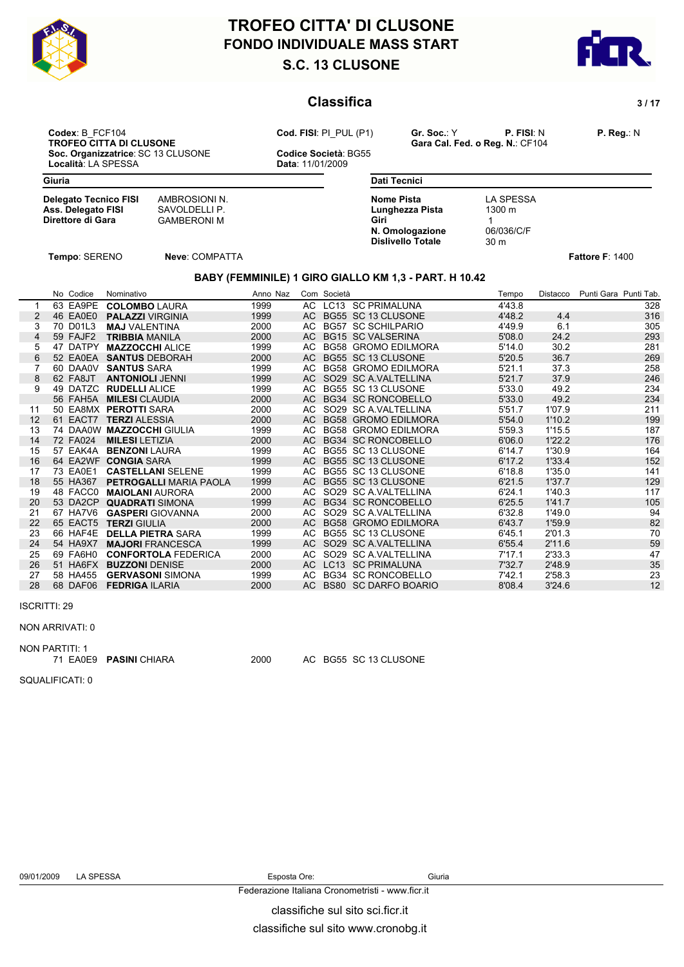



### **Classifica** 3/17

**Codex**: B\_FCF104 **Cod. FISI**: PI\_PUL (P1) **Gr. Soc.**: Y **P. FISI**: N **P. Reg.**: N **Soc. Organizzatrice**: SC 13 CLUSONE **Codice Società**: Località: LA SPESSA **CODICAL ENCLUSONE** 

**TROFEO CITTA DI CALCULTE DI CONSTRUENTE DI CONSTRUENCE CONSTRUENCE CONSTRUENCE CONSTRUENCE CONSTRUENCE CONSTRUENCE CONSTRUENCE CONSTRUENCE CONSTRUENCE CONSTRUENCE CONSTRUENCE CONSTRUENCE CONSTRUENCE CONSTRUENCE CONSTRUENC** 

Località: LA SPESSA

**Giuria**

| AMBROSIONI N.<br>SAVOLDELLI P. |
|--------------------------------|
| <b>GAMBERONI M</b>             |
|                                |

**SAVOLDELLI P. CAMBERONI M** GAMBERONI M

**Dati Tecnici Nome Pista** LA SPESSA<br> **Lunghezza Pista** 1300 m **Lunghezza Pista Giri** 1 **1 N. Omologazione** 06/036/C/F<br> **Dislivello Totale** 30 m **Dislivello Totale** 

**Tempo**: SERENO **Neve**: COMPATTA **Fattore F**: 1400

## **BABY (FEMMINILE) 1 GIRO GIALLO KM 1,3 - PART. H 10.42**

|    |    | No Codice       | Nominativo                    | Anno Naz |      | Com Società |                            | Tempo  | Distacco | Punti Gara Punti Tab. |
|----|----|-----------------|-------------------------------|----------|------|-------------|----------------------------|--------|----------|-----------------------|
|    |    | 63 EA9PE        | <b>COLOMBO LAURA</b>          | 1999     |      |             | AC LC13 SC PRIMALUNA       | 4'43.8 |          | 328                   |
| 2  |    | 46 EA0E0        | <b>PALAZZI VIRGINIA</b>       | 1999     | AC.  |             | BG55 SC 13 CLUSONE         | 4'48.2 | 4.4      | 316                   |
| 3  |    | 70 D01L3        | <b>MAJ VALENTINA</b>          | 2000     | AC.  |             | <b>BG57 SC SCHILPARIO</b>  | 4'49.9 | 6.1      | 305                   |
| 4  |    | 59 FAJF2        | <b>TRIBBIA MANILA</b>         | 2000     | AC.  |             | <b>BG15 SC VALSERINA</b>   | 5'08.0 | 24.2     | 293                   |
| 5  |    | 47 DATPY        | <b>MAZZOCCHI ALICE</b>        | 1999     | AC.  |             | <b>BG58 GROMO EDILMORA</b> | 5'14.0 | 30.2     | 281                   |
| 6  |    | 52 EA0EA        | <b>SANTUS DEBORAH</b>         | 2000     | AC.  |             | BG55 SC 13 CLUSONE         | 5'20.5 | 36.7     | 269                   |
|    |    | 60 DAA0V        | <b>SANTUS SARA</b>            | 1999     | AC.  |             | <b>BG58 GROMO EDILMORA</b> | 5'21.1 | 37.3     | 258                   |
| 8  |    | 62 FA8JT        | <b>ANTONIOLI JENNI</b>        | 1999     |      |             | AC SO29 SC A VALTELLINA    | 5'21.7 | 37.9     | 246                   |
| 9  | 49 | DATZC           | <b>RUDELLI ALICE</b>          | 1999     |      |             | AC BG55 SC 13 CLUSONE      | 5'33.0 | 49.2     | 234                   |
|    |    | <b>56 FAH5A</b> | <b>MILESI</b> CLAUDIA         | 2000     |      |             | AC BG34 SC RONCOBELLO      | 5'33.0 | 49.2     | 234                   |
| 11 |    | 50 EA8MX        | <b>PEROTTI SARA</b>           | 2000     |      |             | AC SO29 SC A VALTELLINA    | 5'51.7 | 1'07.9   | 211                   |
| 12 |    | 61 EACT7        | <b>TERZI ALESSIA</b>          | 2000     |      |             | AC BG58 GROMO EDILMORA     | 5'54.0 | 1'10.2   | 199                   |
| 13 |    |                 | 74 DAA0W MAZZOCCHI GIULIA     | 1999     |      |             | AC BG58 GROMO EDILMORA     | 5'59.3 | 1'15.5   | 187                   |
| 14 |    | 72 FA024        | <b>MILESI LETIZIA</b>         | 2000     |      |             | AC BG34 SC RONCOBELLO      | 6'06.0 | 1'22.2   | 176                   |
| 15 |    | 57 EAK4A        | <b>BENZONI   AURA</b>         | 1999     | AC.  |             | BG55 SC 13 CLUSONE         | 6'14.7 | 1'30.9   | 164                   |
| 16 |    | 64 EA2WF        | <b>CONGIA SARA</b>            | 1999     |      |             | AC BG55 SC 13 CLUSONE      | 6'17.2 | 1'33.4   | 152                   |
| 17 |    | 73 EA0E1        | <b>CASTELLANI SELENE</b>      | 1999     | AC.  |             | BG55 SC 13 CLUSONE         | 6'18.8 | 1'35.0   | 141                   |
| 18 |    | 55 HA367        | <b>PETROGALLI MARIA PAOLA</b> | 1999     |      |             | AC BG55 SC 13 CLUSONE      | 6'21.5 | 1'37.7   | 129                   |
| 19 |    | 48 FACC0        | <b>MAIOLANI AURORA</b>        | 2000     | AC   |             | SO29 SC A VALTELLINA       | 6'24.1 | 1'40.3   | 117                   |
| 20 |    | 53 DA2CP        | <b>QUADRATI SIMONA</b>        | 1999     |      |             | AC BG34 SC RONCOBELLO      | 6'25.5 | 1'41.7   | 105                   |
| 21 | 67 | HA7V6           | <b>GASPERI</b> GIOVANNA       | 2000     | AC.  |             | SO29 SC A VALTELLINA       | 6'32.8 | 1'49.0   | 94                    |
| 22 |    | 65 EACT5        | <b>TERZI GIULIA</b>           | 2000     | AC.  |             | BG58 GROMO EDILMORA        | 6'43.7 | 1'59.9   | 82                    |
| 23 |    | 66 HAF4E        | <b>DELLA PIETRA SARA</b>      | 1999     | AC.  |             | BG55 SC 13 CLUSONE         | 6'45.1 | 2'01.3   | 70                    |
| 24 |    | 54 HA9X7        | <b>MAJORI FRANCESCA</b>       | 1999     | AC . |             | SO29 SC A.VALTELLINA       | 6'55.4 | 2'11.6   | 59                    |
| 25 | 69 | FA6H0           | <b>CONFORTOLA FEDERICA</b>    | 2000     | AC.  |             | SO29 SC A VALTELLINA       | 7'17.1 | 2'33.3   | 47                    |
| 26 |    | 51 HA6FX        | <b>BUZZONI DENISE</b>         | 2000     | AC.  |             | LC13 SC PRIMALUNA          | 7'32.7 | 2'48.9   | 35                    |
| 27 |    | 58 HA455        | <b>GERVASONI SIMONA</b>       | 1999     | AC   |             | <b>BG34 SC RONCOBELLO</b>  | 7'42.1 | 2'58.3   | 23                    |
| 28 |    | 68 DAF06        | <b>FEDRIGA ILARIA</b>         | 2000     |      |             | AC BS80 SC DARFO BOARIO    | 8'08.4 | 3'24.6   | 12                    |

#### ISCRITTI: 29

#### NON ARRIVATI: 0

NON PARTITI: 1

71 EA0E9 **PASINI** CHIARA 2000 AC BG55 SC 13 CLUSONE

SQUALIFICATI: 0

Federazione Italiana Cronometristi - www.ficr.it

classifiche sul sito sci.ficr.it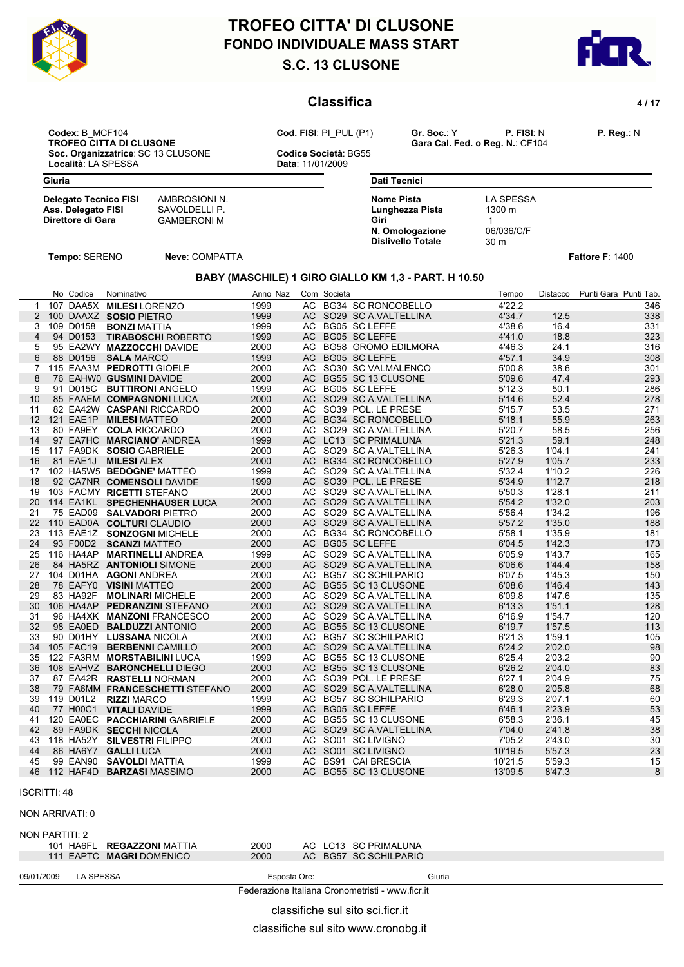

# **S.C. 13 CLUSONE FONDO INDIVIDUALE MASS START TROFEO CITTA' DI CLUSONE**



### **Classifica** 4/17

**Codex**: B\_MCF104 **Cod. FISI**: PI\_PUL (P1) **Gr. Soc.**: Y **P. FISI**: N **P. Reg.**: N **Soc. Organizzatrice**: SC 13 CLUSONE **Codice Società**: Località: LA SPESSA **CODICAL ENCLUSONE** Località: LA SPESSA

**TROFESCH CONSERVANT CALCUST CALCUS CARGAGE CALCUS CODE:**<br>Codice Società: BG55

**Delegato Tecnico FISI** AMBROSIONI N.<br> **Ass. Delegato FISI** SAVOLDELLI P.

**Direttore di Gara** GAMBERONI M

| <b>Dati Tecnici</b>      |                    |  |
|--------------------------|--------------------|--|
| Nome Pista               | LA SPESSA          |  |
| Lunghezza Pista          | $1300 \; \text{m}$ |  |
| Giri                     |                    |  |
| N. Omologazione          | 06/036/C/F         |  |
| <b>Dislivello Totale</b> | 30 <sub>m</sub>    |  |

**Tempo**: SERENO **Neve**: COMPATTA **Fattore F**: 1400

**Ass. Delegato FISI<br>Direttore di Gara** 

#### **BABY (MASCHILE) 1 GIRO GIALLO KM 1,3 - PART. H 10.50**

|                 | No Codice   | Nominativo                       | Anno Naz |      | Com Società |                           | Tempo   | Distacco | Punti Gara Punti Tab. |
|-----------------|-------------|----------------------------------|----------|------|-------------|---------------------------|---------|----------|-----------------------|
| $\mathbf{1}$    |             | 107 DAA5X MILESI LORENZO         | 1999     |      |             | AC BG34 SC RONCOBELLO     | 4'22.2  |          | 346                   |
| $\overline{2}$  |             | 100 DAAXZ SOSIO PIETRO           | 1999     |      |             | AC SO29 SC A.VALTELLINA   | 4'34.7  | 12.5     | 338                   |
|                 | 3 109 D0158 | <b>BONZI MATTIA</b>              | 1999     |      |             | AC BG05 SC LEFFE          | 4'38.6  | 16.4     | 331                   |
| $\overline{4}$  | 94 D0153    | <b>TIRABOSCHI ROBERTO</b>        | 1999     | AC.  |             | <b>BG05 SC LEFFE</b>      | 4'41.0  | 18.8     | 323                   |
| 5               |             | 95 EA2WY MAZZOCCHI DAVIDE        | 2000     |      |             | AC BG58 GROMO EDILMORA    | 4'46.3  | 24.1     | 316                   |
| 6               |             | 88 D0156 SALA MARCO              | 1999     | AC.  |             | <b>BG05 SC LEFFE</b>      | 4'57.1  | 34.9     | 308                   |
| 7               |             | 115 EAA3M PEDROTTI GIOELE        | 2000     |      |             | AC SO30 SC VALMALENCO     | 5'00.8  | 38.6     | 301                   |
| 8               |             | 76 EAHWO GUSMINI DAVIDE          | 2000     |      |             | AC BG55 SC 13 CLUSONE     | 5'09.6  | 47.4     | 293                   |
| 9               |             | 91 D015C BUTTIRONI ANGELO        | 1999     |      |             | AC BG05 SC LEFFE          | 5'12.3  | 50.1     | 286                   |
| 10              |             | 85 FAAEM COMPAGNONI LUCA         | 2000     |      |             | AC SO29 SC A VALTELLINA   | 5'14.6  | 52.4     | 278                   |
| 11              |             | 82 EA42W CASPANI RICCARDO        | 2000     | AC.  |             | SO39 POL. LE PRESE        | 5'15.7  | 53.5     | 271                   |
| 12 <sup>2</sup> |             | 121 EAE1P MILESI MATTEO          | 2000     |      |             | AC BG34 SC RONCOBELLO     | 5'18.1  | 55.9     | 263                   |
| 13              |             | 80 FA9EY COLA RICCARDO           | 2000     |      |             | AC SO29 SC A VALTELLINA   | 5'20.7  | 58.5     | 256                   |
| 14              |             | 97 EA7HC MARCIANO' ANDREA        | 1999     |      |             | AC LC13 SC PRIMALUNA      | 5'21.3  | 59.1     | 248                   |
| 15              |             | 117 FA9DK SOSIO GABRIELE         | 2000     |      |             | AC SO29 SC A VALTELLINA   | 5'26.3  | 1'04.1   | 241                   |
| 16              |             | 81 EAE1J MILESI ALEX             | 2000     | AC.  |             | <b>BG34 SC RONCOBELLO</b> | 5'27.9  | 1'05.7   | 233                   |
| 17              |             | 102 HA5W5 BEDOGNE' MATTEO        | 1999     | AC.  |             | SO29 SC A VALTELLINA      | 5'32.4  | 1'10.2   | 226                   |
| 18              |             | 92 CA7NR COMENSOLI DAVIDE        | 1999     | AC   |             | SO39 POL. LE PRESE        | 5'34.9  | 1'12.7   | 218                   |
| 19              |             | 103 FACMY RICETTI STEFANO        | 2000     |      |             | AC SO29 SC A VALTELLINA   | 5'50.3  | 1'28.1   | 211                   |
| 20              |             | 114 EA1KL SPECHENHAUSER LUCA     | 2000     |      |             | AC SO29 SC A VALTELLINA   | 5'54.2  | 1'32.0   | 203                   |
| 21              |             | 75 EAD09 SALVADORI PIETRO        | 2000     | AC.  |             | SO29 SC A VALTELLINA      | 5'56.4  | 1'34.2   | 196                   |
| 22              |             | 110 EAD0A COLTURI CLAUDIO        | 2000     | AC.  |             | SO29 SC A VALTELLINA      | 5'57.2  | 1'35.0   | 188                   |
| 23              |             | 113 EAE1Z SONZOGNI MICHELE       | 2000     | AC.  |             | <b>BG34 SC RONCOBELLO</b> | 5'58.1  | 1'35.9   | 181                   |
| 24              |             | 93 F00D2 SCANZI MATTEO           | 2000     |      |             | AC BG05 SC LEFFE          | 6'04.5  | 1'42.3   | 173                   |
| 25              |             | 116 HA4AP MARTINELLI ANDREA      | 1999     |      |             | AC SO29 SC A VALTELLINA   | 6'05.9  | 1'43.7   | 165                   |
| 26              |             | 84 HA5RZ ANTONIOLI SIMONE        | 2000     |      |             | AC SO29 SC A.VALTELLINA   | 6'06.6  | 1'44.4   | 158                   |
| 27              |             | 104 D01HA AGONI ANDREA           | 2000     |      |             | AC BG57 SC SCHILPARIO     | 6'07.5  | 1'45.3   | 150                   |
| 28              |             | 78 EAFY0 VISINI MATTEO           | 2000     | AC.  |             | BG55 SC 13 CLUSONE        | 6'08.6  | 1'46.4   | 143                   |
| 29              | 83 HA92F    | <b>MOLINARI MICHELE</b>          | 2000     | AC.  |             | SO29 SC A VALTELLINA      | 6'09.8  | 1'47.6   | 135                   |
| 30              |             | 106 HA4AP PEDRANZINI STEFANO     | 2000     | AC.  |             | SO29 SC A VALTELLINA      | 6'13.3  | 1'51.1   | 128                   |
| 31              |             | 96 HA4XK MANZONI FRANCESCO       | 2000     |      |             | AC SO29 SC A VALTELLINA   | 6'16.9  | 1'54.7   | 120                   |
| 32              |             | 98 EA0ED <b>BALDUZZI</b> ANTONIO | 2000     | AC.  |             | BG55 SC 13 CLUSONE        | 6'19.7  | 1'57.5   | 113                   |
| 33              |             | 90 D01HY LUSSANA NICOLA          | 2000     |      |             | AC BG57 SC SCHILPARIO     | 6'21.3  | 1'59.1   | 105                   |
| 34              | 105 FAC19   | <b>BERBENNI CAMILLO</b>          | 2000     |      |             | AC SO29 SC A VALTELLINA   | 6'24.2  | 2'02.0   | 98                    |
| 35              |             | 122 FA3RM MORSTABILINI LUCA      | 1999     | AC.  |             | BG55 SC 13 CLUSONE        | 6'25.4  | 2'03.2   | 90                    |
| 36              |             | 108 EAHVZ BARONCHELLI DIEGO      | 2000     | AC . |             | BG55 SC 13 CLUSONE        | 6'26.2  | 2'04.0   | 83                    |
| 37              |             | 87 EA42R RASTELLI NORMAN         | 2000     | AC   |             | SO39 POL. LE PRESE        | 6'27.1  | 2'04.9   | 75                    |
| 38              |             | 79 FA6MM FRANCESCHETTI STEFANO   | 2000     |      |             | AC SO29 SC A VALTELLINA   | 6'28.0  | 2'05.8   | 68                    |
| 39              |             | 119 D01L2 RIZZI MARCO            | 1999     |      |             | AC BG57 SC SCHILPARIO     | 6'29.3  | 2'07.1   |                       |
|                 |             | 77 H00C1 VITALI DAVIDE           | 1999     |      |             | AC BG05 SC LEFFE          | 6'46.1  | 2'23.9   | 60                    |
| 40              |             |                                  |          |      |             |                           |         |          | 53                    |
| 41              |             | 120 EA0EC PACCHIARINI GABRIELE   | 2000     |      |             | AC BG55 SC 13 CLUSONE     | 6'58.3  | 2'36.1   | 45                    |
| 42              |             | 89 FA9DK SECCHI NICOLA           | 2000     | AC.  |             | SO29 SC A VALTELLINA      | 7'04.0  | 2'41.8   | 38                    |
| 43              |             | 118 HA52Y SILVESTRI FILIPPO      | 2000     | AC   |             | SO01 SC LIVIGNO           | 7'05.2  | 2'43.0   | 30                    |
| 44              | 86 HA6Y7    | <b>GALLI LUCA</b>                | 2000     | AC.  |             | SO01 SC LIVIGNO           | 10'19.5 | 5'57.3   | 23                    |
| 45              |             | 99 EAN90 SAVOLDI MATTIA          | 1999     | AC.  |             | <b>BS91 CAI BRESCIA</b>   | 10'21.5 | 5'59.3   | 15                    |
| 46              |             | 112 HAF4D <b>BARZASI</b> MASSIMO | 2000     |      |             | AC BG55 SC 13 CLUSONE     | 13'09.5 | 8'47.3   | 8                     |

#### ISCRITTI: 48

NON ARRIVATI: 0

NON PARTITI: 2

| HA6FL<br><b>REGAZZONI</b> MATTIA<br>101 | 2000 | AC LC13 SC PRIMALUNA  |  |
|-----------------------------------------|------|-----------------------|--|
| 111 EAPTC <b>MAGRI</b> DOMENICO         | 2000 | AC BG57 SC SCHILPARIO |  |
|                                         |      |                       |  |

09/01/2009 LA SPESSA Esposta Ore: Giuria

Federazione Italiana Cronometristi - www.ficr.it

classifiche sul sito sci.ficr.it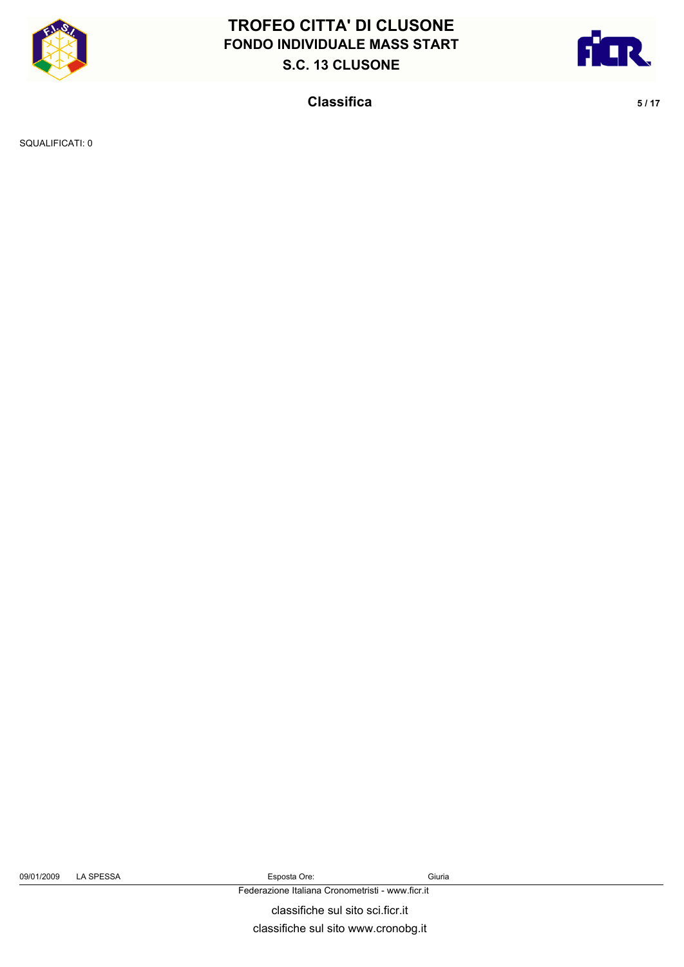



**Classifica** 5/17

SQUALIFICATI: 0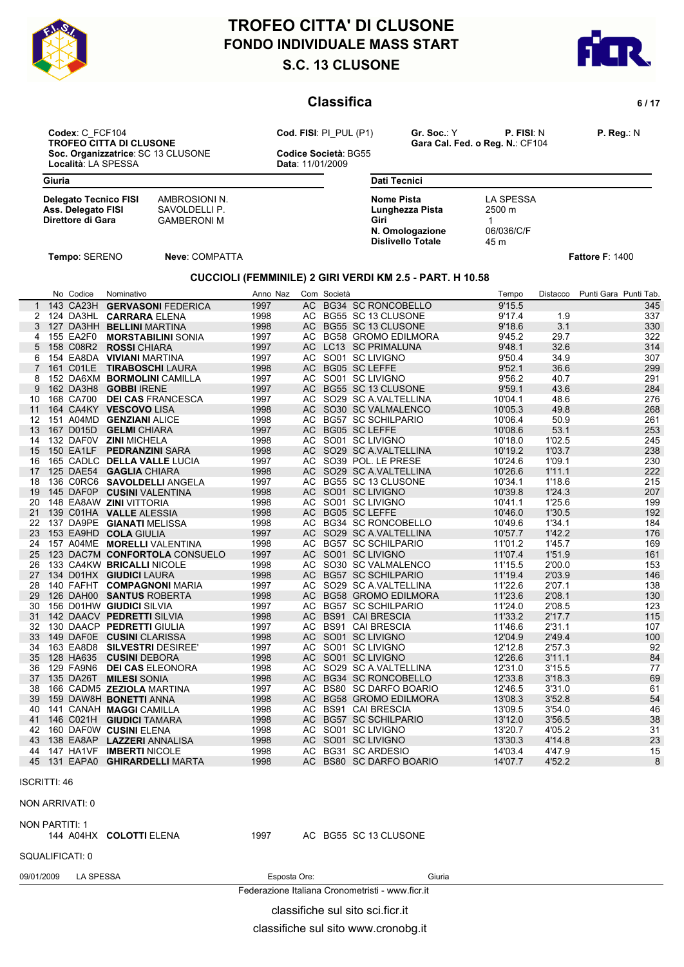

# **S.C. 13 CLUSONE FONDO INDIVIDUALE MASS START TROFEO CITTA' DI CLUSONE**



### **Classifica** 6/17

**Codex**: C\_FCF104 **Cod. FISI**: PI\_PUL (P1) **Gr. Soc.**: Y **P. FISI**: N **P. Reg.**: N **Soc. Organizzatrice**: SC 13 CLUSONE **Codice Società**: Località: LA SPESSA **CODICAL ENCLUSONE** Località: LA SPESSA

**TROFEO CITTA DI CALCULTE DI CONSTRUENTE DI CONSTRUENCE CONSTRUENCE CONSTRUENCE CONSTRUENCE CONSTRUENCE CONSTRUENCE CONSTRUENCE CONSTRUENCE CONSTRUENCE CONSTRUENCE CONSTRUENCE CONSTRUENCE CONSTRUENCE CONSTRUENCE CONSTRUENC** 

**Delegato Tecnico FISI** AMBROSIONI N.<br> **Ass. Delegato FISI** SAVOLDELLI P.

**Direttore di Gara** GAMBERONI M

| <b>Dati Tecnici</b>      |            |  |
|--------------------------|------------|--|
| <b>Nome Pista</b>        | LA SPESSA  |  |
| Lunghezza Pista          | 2500 m     |  |
| Giri                     |            |  |
| N. Omologazione          | 06/036/C/F |  |
| <b>Dislivello Totale</b> | 45 m       |  |

**Tempo**: SERENO **Neve**: COMPATTA **Fattore F**: 1400

**Ass. Delegato FISI<br>Direttore di Gara** 

#### **CUCCIOLI (FEMMINILE) 2 GIRI VERDI KM 2.5 - PART. H 10.58**

|    | No Codice   | Nominativo                       | Anno Naz |     | Com Società |                         | Tempo   | Distacco         | Punti Gara Punti Tab. |
|----|-------------|----------------------------------|----------|-----|-------------|-------------------------|---------|------------------|-----------------------|
|    |             | 1 143 CA23H GERVASONI FEDERICA   | 1997     |     |             | AC BG34 SC RONCOBELLO   | 9'15.5  |                  | 345                   |
|    |             | 2 124 DA3HL CARRARA ELENA        | 1998     |     |             | AC BG55 SC 13 CLUSONE   | 9'17.4  | 1.9              | 337                   |
|    |             | 3 127 DA3HH BELLINI MARTINA      | 1998     |     |             | AC BG55 SC 13 CLUSONE   | 9'18.6  | 3.1              | 330                   |
|    | 4 155 EA2F0 | <b>MORSTABILINI SONIA</b>        | 1997     |     |             | AC BG58 GROMO EDILMORA  | 9'45.2  | 29.7             | 322                   |
|    | 5 158 C08R2 | <b>ROSSI</b> CHIARA              | 1997     |     |             | AC LC13 SC PRIMALUNA    | 9'48.1  | 32.6             | 314                   |
|    |             | 6 154 EA8DA VIVIANI MARTINA      | 1997     |     |             | AC SO01 SC LIVIGNO      | 9'50.4  | 34.9             | 307                   |
|    |             | 161 C01LE TIRABOSCHI LAURA       | 1998     |     |             | AC BG05 SC LEFFE        | 9'52.1  | 36.6             | 299                   |
|    |             | 8 152 DA6XM BORMOLINI CAMILLA    | 1997     |     |             | AC SO01 SC LIVIGNO      | 9'56.2  | 40.7             | 291                   |
| 9  |             | 162 DA3H8 GOBBI IRENE            | 1997     |     |             | AC BG55 SC 13 CLUSONE   | 9'59.1  | 43.6             | 284                   |
| 10 |             | 168 CA700 DEI CAS FRANCESCA      | 1997     |     |             | AC SO29 SC A VALTELLINA | 10'04.1 | 48.6             | 276                   |
| 11 |             | 164 CA4KY VESCOVO LISA           | 1998     |     |             | AC SO30 SC VALMALENCO   | 10'05.3 | 49.8             | 268                   |
|    |             | 12 151 A04MD GENZIANI ALICE      | 1998     |     |             | AC BG57 SC SCHILPARIO   | 10'06.4 | 50.9             | 261                   |
|    |             | 13 167 D015D GELMI CHIARA        | 1997     |     |             | AC BG05 SC LEFFE        | 10'08.6 | 53.1             | 253                   |
|    |             | 14 132 DAFOV ZINI MICHELA        | 1998     |     |             | AC SO01 SC LIVIGNO      | 10'18.0 | 1'02.5           | 245                   |
|    |             | 15 150 EA1LF PEDRANZINI SARA     | 1998     |     |             | AC SO29 SC A VALTELLINA | 10'19.2 | 1'03.7           | 238                   |
|    |             | 16 165 CADLC DELLA VALLE LUCIA   | 1997     |     |             | AC SO39 POL. LE PRESE   | 10'24.6 | 1'09.1           | 230                   |
|    |             | 17 125 DAE54 GAGLIA CHIARA       | 1998     |     |             | AC SO29 SC A.VALTELLINA | 10'26.6 | 1'11.1           | 222                   |
| 18 |             | 136 CORC6 SAVOLDELLI ANGELA      | 1997     |     |             | AC BG55 SC 13 CLUSONE   | 10'34.1 | 1'18.6           | 215                   |
| 19 |             | 145 DAF0P CUSINI VALENTINA       | 1998     |     |             | AC SO01 SC LIVIGNO      | 10'39.8 | 1'24.3           | 207                   |
| 20 |             | 148 EA8AW ZINI VITTORIA          | 1998     | AC  |             | SO01 SC LIVIGNO         | 10'41.1 | 1'25.6           | 199                   |
| 21 |             | 139 C01HA VALLE ALESSIA          | 1998     |     |             | AC BG05 SC LEFFE        | 10'46.0 | 1'30.5           | 192                   |
|    |             | 22 137 DA9PE GIANATI MELISSA     |          |     |             |                         |         |                  |                       |
|    |             |                                  | 1998     |     |             | AC BG34 SC RONCOBELLO   | 10'49.6 | 1'34.1<br>1'42.2 | 184                   |
|    |             | 23 153 EA9HD COLA GIULIA         | 1997     |     |             | AC SO29 SC A VALTELLINA | 10'57.7 |                  | 176                   |
| 24 |             | 157 A04ME MORELLI VALENTINA      | 1998     |     |             | AC BG57 SC SCHILPARIO   | 11'01.2 | 1'45.7           | 169                   |
|    |             | 25 123 DAC7M CONFORTOLA CONSUELO | 1997     |     |             | AC SO01 SC LIVIGNO      | 11'07.4 | 1'51.9           | 161                   |
| 26 |             | 133 CA4KW BRICALLI NICOLE        | 1998     |     |             | AC SO30 SC VALMALENCO   | 11'15.5 | 2'00.0           | 153                   |
|    |             | 27 134 D01HX GIUDICI LAURA       | 1998     |     |             | AC BG57 SC SCHILPARIO   | 11'19.4 | 2'03.9           | 146                   |
| 28 |             | 140 FAFHT COMPAGNONI MARIA       | 1997     | AC. |             | SO29 SC A.VALTELLINA    | 11'22.6 | 2'07.1           | 138                   |
| 29 |             | 126 DAH00 SANTUS ROBERTA         | 1998     |     |             | AC BG58 GROMO EDILMORA  | 11'23.6 | 2'08.1           | 130                   |
|    |             | 30 156 D01HW GIUDICI SILVIA      | 1997     |     |             | AC BG57 SC SCHILPARIO   | 11'24.0 | 2'08.5           | 123                   |
| 31 |             | 142 DAACV PEDRETTI SILVIA        | 1998     |     |             | AC BS91 CAI BRESCIA     | 11'33.2 | 2'17.7           | 115                   |
| 32 |             | 130 DAACP PEDRETTI GIULIA        | 1997     |     |             | AC BS91 CAI BRESCIA     | 11'46.6 | 2'31.1           | 107                   |
| 33 |             | 149 DAFOE CUSINI CLARISSA        | 1998     | AC  |             | SO01 SC LIVIGNO         | 12'04.9 | 2'49.4           | 100                   |
|    |             | 34 163 EA8D8 SILVESTRI DESIREE'  | 1997     |     |             | AC SO01 SC LIVIGNO      | 12'12.8 | 2'57.3           | 92                    |
|    |             | 35 128 HA635 CUSINI DEBORA       | 1998     |     |             | AC SO01 SC LIVIGNO      | 12'26.6 | 3'11.1           | 84                    |
| 36 | 129 FA9N6   | <b>DEI CAS ELEONORA</b>          | 1998     |     |             | AC SO29 SC A VALTELLINA | 12'31.0 | 3'15.5           | 77                    |
| 37 |             | 135 DA26T MILESI SONIA           | 1998     |     |             | AC BG34 SC RONCOBELLO   | 12'33.8 | 3'18.3           | 69                    |
| 38 |             | 166 CADM5 ZEZIOLA MARTINA        | 1997     | AC. |             | BS80 SC DARFO BOARIO    | 12'46.5 | 3'31.0           | 61                    |
|    |             | 39 159 DAW8H BONETTI ANNA        | 1998     |     |             | AC BG58 GROMO EDILMORA  | 13'08.3 | 3'52.8           | 54                    |
| 40 |             | 141 CANAH MAGGI CAMILLA          | 1998     |     |             | AC BS91 CAI BRESCIA     | 13'09.5 | 3'54.0           | 46                    |
|    |             | 41 146 C021H GIUDICI TAMARA      | 1998     |     |             | AC BG57 SC SCHILPARIO   | 13'12.0 | 3'56.5           | 38                    |
| 42 |             | 160 DAFOW CUSINI ELENA           | 1998     | AC. |             | SO01 SC LIVIGNO         | 13'20.7 | 4'05.2           | 31                    |
| 43 |             | 138 EA8AP LAZZERI ANNALISA       | 1998     | AC  |             | SO01 SC LIVIGNO         | 13'30.3 | 4'14.8           | 23                    |
| 44 |             | 147 HA1VF <b>IMBERTI</b> NICOLE  | 1998     | AC. |             | <b>BG31 SC ARDESIO</b>  | 14'03.4 | 4'47.9           | 15                    |
|    |             | 45 131 EAPAO GHIRARDELLI MARTA   | 1998     |     |             | AC BS80 SC DARFO BOARIO | 14'07.7 | 4'52.2           | 8                     |

#### ISCRITTI: 46

NON ARRIVATI: 0

NON PARTITI: 1

144 A04HX COLOTTI ELENA 1997 AC BG55 SC 13 CLUSONE

SQUALIFICATI: 0

09/01/2009 LA SPESSA Esposta Ore: Giuria

Federazione Italiana Cronometristi - www.ficr.it

classifiche sul sito sci.ficr.it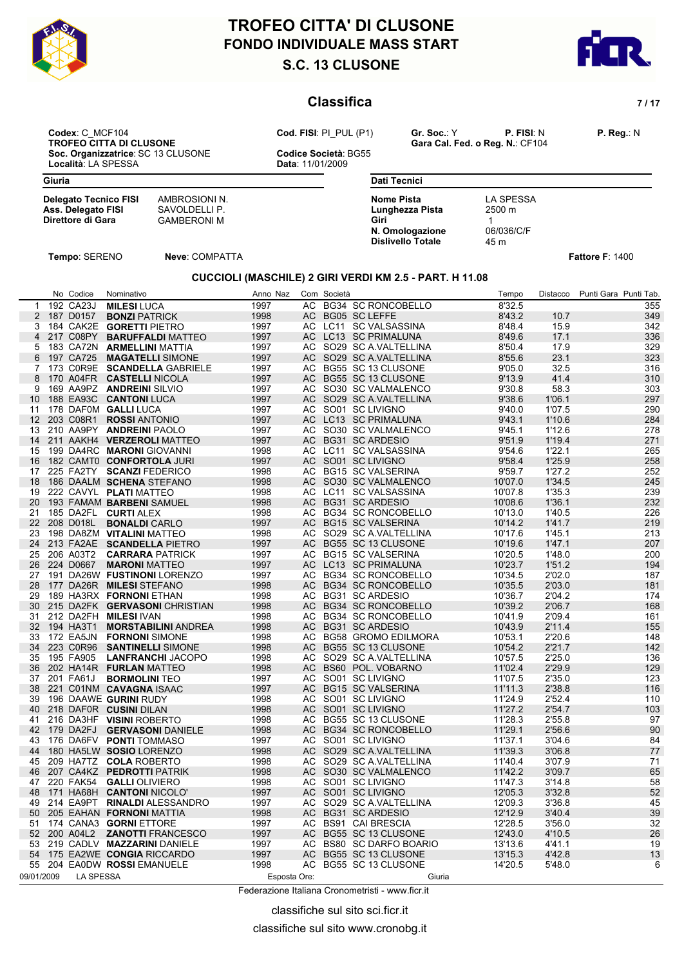

# **S.C. 13 CLUSONE FONDO INDIVIDUALE MASS START DESCRIPTION OF LABOUR START TROFEO CITTA' DI CLUSONE**



### **Classifica** *7/17*

**Codex**: C\_MCF104 **Cod. FISI**: PI\_PUL (P1) **Gr. Soc.**: Y **P. FISI**: N **P. Reg.**: N **Soc. Organizzatrice**: SC 13 CLUSONE **Codice Società**: Località: LA SPESSA **CODICAL ENCLUSONE** Località: LA SPESSA

**TROFESCH CONSERVANT CALCUST CALCUS CARGAGE CALCUS CODE:**<br>Codice Società: BG55

**Delegato Tecnico FISI** AMBROSIONI N.<br> **Ass. Delegato FISI** SAVOLDELLI P.

**Direttore di Gara** GAMBERONI M

| <b>Dati Tecnici</b>                                                                  |                                                       |  |
|--------------------------------------------------------------------------------------|-------------------------------------------------------|--|
| Nome Pista<br>Lunghezza Pista<br>Giri<br>N. Omologazione<br><b>Dislivello Totale</b> | LA SPESSA<br>$2500 \; \text{m}$<br>06/036/C/F<br>45 m |  |

**Tempo**: SERENO **Neve**: COMPATTA **Fattore F**: 1400

**Ass. Delegato FISI<br>Direttore di Gara** 

#### **CUCCIOLI (MASCHILE) 2 GIRI VERDI KM 2.5 - PART. H 11.08**

|                   | No Codice | Nominativo                           | Anno Naz     | Com       | Società |                           | Tempo   | Distacco | Punti Gara Punti Tab. |
|-------------------|-----------|--------------------------------------|--------------|-----------|---------|---------------------------|---------|----------|-----------------------|
| 1                 | 192 CA23J | <b>MILESI LUCA</b>                   | 1997         | AC        |         | <b>BG34 SC RONCOBELLO</b> | 8'32.5  |          | 355                   |
| 2                 | 187 D0157 | <b>BONZI PATRICK</b>                 | 1998         | <b>AC</b> |         | <b>BG05 SC LEFFE</b>      | 8'43.2  | 10.7     | 349                   |
| 3                 |           | 184 CAK2E GORETTI PIETRO             | 1997         |           |         | AC LC11 SC VALSASSINA     | 8'48.4  | 15.9     | 342                   |
| 4                 | 217 C08PY | <b>BARUFFALDI MATTEO</b>             | 1997         | AC        |         | LC13 SC PRIMALUNA         | 8'49.6  | 17.1     | 336                   |
| 5                 |           | 183 CA72N ARMELLINI MATTIA           | 1997         | AC.       |         | SO29 SC A VALTELLINA      | 8'50.4  | 17.9     | 329                   |
| 6                 | 197 CA725 | <b>MAGATELLI SIMONE</b>              | 1997         | AC        |         | SO29 SC A.VALTELLINA      | 8'55.6  | 23.1     | 323                   |
| 7                 | 173 C0R9E | <b>SCANDELLA GABRIELE</b>            | 1997         | AC        |         | BG55 SC 13 CLUSONE        | 9'05.0  | 32.5     | 316                   |
| 8                 | 170 A04FR | <b>CASTELLI NICOLA</b>               | 1997         | AC        |         | BG55 SC 13 CLUSONE        | 9'13.9  | 41.4     | 310                   |
| 9                 |           | 169 AA9PZ ANDREINI SILVIO            | 1997         | AC.       |         | SO30 SC VALMALENCO        | 9'30.8  | 58.3     | 303                   |
| 10                | 188 EA93C | <b>CANTONI LUCA</b>                  | 1997         | AC        |         | SO29 SC A VALTELLINA      | 9'38.6  | 1'06.1   | 297                   |
| 11                |           | 178 DAF0M GALLI LUCA                 | 1997         | AC        |         | SO01 SC LIVIGNO           | 9'40.0  | 1'07.5   | 290                   |
| $12 \overline{ }$ | 203 C08R1 | <b>ROSSI ANTONIO</b>                 | 1997         | AC.       |         | LC13 SC PRIMALUNA         | 9'43.1  | 1'10.6   | 284                   |
| 13                | 210 AA9PY | <b>ANDREINI PAOLO</b>                | 1997         | AC.       |         | SO30 SC VALMALENCO        | 9'45.1  | 1'12.6   | 278                   |
| 14                |           | 211 AAKH4 VERZEROLI MATTEO           | 1997         | AC        |         | <b>BG31 SC ARDESIO</b>    | 9'51.9  | 1'19.4   | 271                   |
| 15                |           | 199 DA4RC MARONI GIOVANNI            | 1998         | AC.       |         | LC11 SC VALSASSINA        | 9'54.6  | 1'22.1   | 265                   |
| 16                |           | 182 CAMT0 CONFORTOLA JURI            | 1997         | AC        |         | SO01 SC LIVIGNO           | 9'58.4  | 1'25.9   | 258                   |
| 17                | 225 FA2TY | <b>SCANZI FEDERICO</b>               | 1998         | AC        |         | <b>BG15 SC VALSERINA</b>  | 9'59.7  | 1'27.2   | 252                   |
| 18                |           | 186 DAALM SCHENA STEFANO             | 1998         | AC.       |         | SO30 SC VALMALENCO        | 10'07.0 | 1'34.5   | 245                   |
| 19                |           | 222 CAVYL PLATI MATTEO               | 1998         | AC.       |         | LC11 SC VALSASSINA        | 10'07.8 | 1'35.3   | 239                   |
| 20                |           | 193 FAMAM BARBENI SAMUEL             | 1998         | AC.       |         | BG31 SC ARDESIO           | 10'08.6 | 1'36.1   | 232                   |
| 21                |           | 185 DA2FL CURTI ALEX                 | 1998         | AC        |         | <b>BG34 SC RONCOBELLO</b> | 10'13.0 | 1'40.5   | 226                   |
| 22                | 208 D018L | <b>BONALDI CARLO</b>                 | 1997         | AC        |         | <b>BG15 SC VALSERINA</b>  | 10'14.2 | 1'41.7   | 219                   |
| 23                |           | 198 DA8ZM VITALINI MATTEO            | 1998         | AC.       |         | SO29 SC A VALTELLINA      | 10'17.6 | 1'45.1   | 213                   |
| 24                |           | 213 FA2AE SCANDELLA PIETRO           | 1997         | AC.       |         | BG55 SC 13 CLUSONE        | 10'19.6 | 1'47.1   | 207                   |
| 25                | 206 A03T2 | <b>CARRARA PATRICK</b>               | 1997         | AC        |         | <b>BG15 SC VALSERINA</b>  | 10'20.5 | 1'48.0   | 200                   |
| 26                | 224 D0667 | <b>MARONI MATTEO</b>                 | 1997         | AC        |         | LC13 SC PRIMALUNA         | 10'23.7 | 1'51.2   | 194                   |
| 27                |           | 191 DA26W FUSTINONI LORENZO          | 1997         | AC        |         | BG34 SC RONCOBELLO        | 10'34.5 | 2'02.0   | 187                   |
| 28                |           | 177 DA26R MILESI STEFANO             | 1998         | AC        |         | <b>BG34 SC RONCOBELLO</b> | 10'35.5 | 2'03.0   | 181                   |
| 29                |           | 189 HA3RX FORNONI ETHAN              | 1998         | AC.       |         | BG31 SC ARDESIO           | 10'36.7 | 2'04.2   | 174                   |
| 30                |           | 215 DA2FK <b>GERVASONI</b> CHRISTIAN | 1998         | AC.       |         | <b>BG34 SC RONCOBELLO</b> | 10'39.2 | 2'06.7   | 168                   |
| 31                |           | 212 DA2FH MILESI IVAN                | 1998         | AC.       |         | <b>BG34 SC RONCOBELLO</b> | 10'41.9 |          | 161                   |
|                   |           |                                      |              |           |         |                           |         | 2'09.4   |                       |
| 32 <sup>2</sup>   | 194 HA3T1 | <b>MORSTABILINI ANDREA</b>           | 1998         | AC        |         | <b>BG31 SC ARDESIO</b>    | 10'43.9 | 2'11.4   | 155                   |
| 33                | 172 EA5JN | <b>FORNONI SIMONE</b>                | 1998         | AC.       |         | BG58 GROMO EDILMORA       | 10'53.1 | 2'20.6   | 148                   |
| 34                | 223 C0R96 | <b>SANTINELLI SIMONE</b>             | 1998         | AC        |         | BG55 SC 13 CLUSONE        | 10'54.2 | 2'21.7   | 142                   |
| 35                | 195 FA905 | <b>LANFRANCHI JACOPO</b>             | 1998         | AC        |         | SO29 SC A VALTELLINA      | 10'57.5 | 2'25.0   | 136                   |
| 36                | 202 HA14R | <b>FURLAN MATTEO</b>                 | 1998         | AC        |         | BS60 POL. VOBARNO         | 11'02.4 | 2'29.9   | 129                   |
| 37                | 201 FA61J | <b>BORMOLINI TEO</b>                 | 1997         | AC        |         | SO01 SC LIVIGNO           | 11'07.5 | 2'35.0   | 123                   |
| 38                |           | 221 C01NM CAVAGNA ISAAC              | 1997         | AC        |         | <b>BG15 SC VALSERINA</b>  | 11'11.3 | 2'38.8   | 116                   |
| 39                |           | 196 DAAWE GURINI RUDY                | 1998         | AC        |         | SO01 SC LIVIGNO           | 11'24.9 | 2'52.4   | 110                   |
| 40                |           | 218 DAF0R CUSINI DILAN               | 1998         | AC        |         | SO01 SC LIVIGNO           | 11'27.2 | 2'54.7   | 103                   |
| 41                |           | 216 DA3HF VISINI ROBERTO             | 1998         | AC        |         | BG55 SC 13 CLUSONE        | 11'28.3 | 2'55.8   | 97                    |
| 42                | 179 DA2FJ | <b>GERVASONI DANIELE</b>             | 1998         | AC        |         | <b>BG34 SC RONCOBELLO</b> | 11'29.1 | 2'56.6   | 90                    |
| 43                |           | 176 DA6FV PONTI TOMMASO              | 1997         | AC.       |         | SO01 SC LIVIGNO           | 11'37.1 | 3'04.6   | 84                    |
| 44                |           | 180 HA5LW SOSIO LORENZO              | 1998         | AC        |         | SO29 SC A VALTELLINA      | 11'39.3 | 3'06.8   | 77                    |
| 45                |           | 209 HA7TZ COLA ROBERTO               | 1998         | AC        |         | SO29 SC A VALTELLINA      | 11'40.4 | 3'07.9   | 71                    |
| 46                | 207 CA4KZ | <b>PEDROTTI PATRIK</b>               | 1998         | AC        |         | SO30 SC VALMALENCO        | 11'42.2 | 3'09.7   | 65                    |
| 47                | 220 FAK54 | <b>GALLI OLIVIERO</b>                | 1998         | AC        |         | SO01 SC LIVIGNO           | 11'47.3 | 3'14.8   | 58                    |
| 48                |           | 171 HA68H CANTONI NICOLO'            | 1997         | AC        |         | SO01 SC LIVIGNO           | 12'05.3 | 3'32.8   | 52                    |
| 49                | 214 EA9PT | <b>RINALDI</b> ALESSANDRO            | 1997         | AC        |         | SO29 SC A.VALTELLINA      | 12'09.3 | 3'36.8   | 45                    |
| 50                |           | 205 EAHAN FORNONI MATTIA             | 1998         | AC        |         | <b>BG31 SC ARDESIO</b>    | 12'12.9 | 3'40.4   | 39                    |
| 51                |           | 174 CANA3 GORNI ETTORE               | 1997         | AC.       |         | <b>BS91 CAI BRESCIA</b>   | 12'28.5 | 3'56.0   | 32                    |
| 52                | 200 A04L2 | <b>ZANOTTI FRANCESCO</b>             | 1997         | AC        |         | BG55 SC 13 CLUSONE        | 12'43.0 | 4'10.5   | 26                    |
| 53                |           | 219 CADLV MAZZARINI DANIELE          | 1997         | AC        |         | BS80 SC DARFO BOARIO      | 13'13.6 | 4'41.1   | 19                    |
| 54                |           | 175 EA2WE CONGIA RICCARDO            | 1997         | AC        |         | BG55 SC 13 CLUSONE        | 13'15.3 | 4'42.8   | 13                    |
| 55                |           | 204 EA0DW ROSSI EMANUELE             | 1998         | AC        |         | BG55 SC 13 CLUSONE        | 14'20.5 | 5'48.0   | 6                     |
| 09/01/2009        | LA SPESSA |                                      | Esposta Ore: |           |         | Giuria                    |         |          |                       |
|                   |           |                                      |              |           |         |                           |         |          |                       |

Federazione Italiana Cronometristi - www.ficr.it

classifiche sul sito sci.ficr.it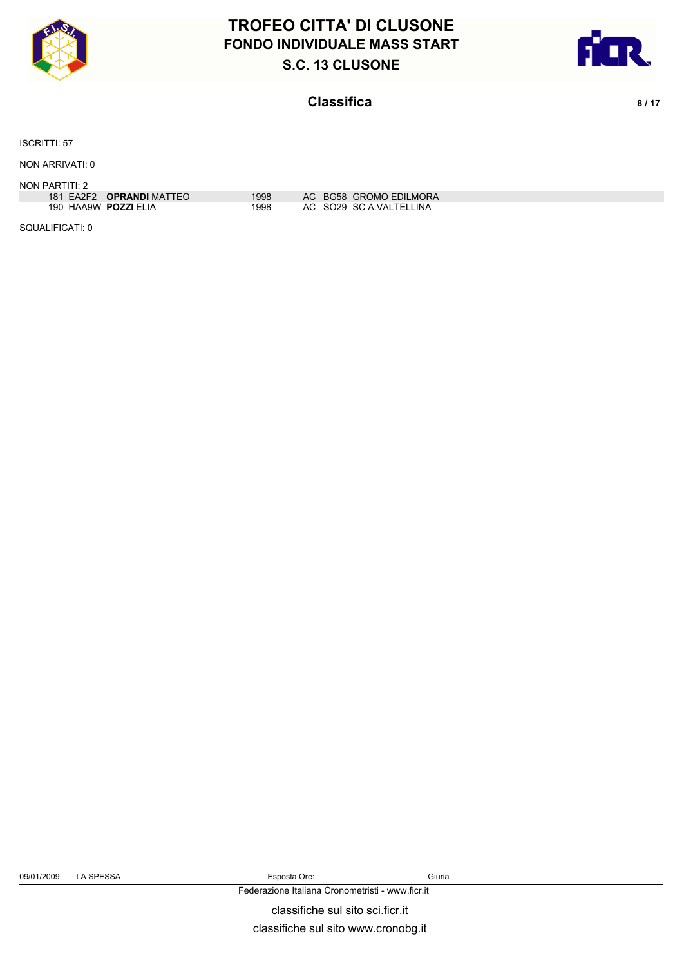



### **Classifica** 8/17

ISCRITTI: 57

NON ARRIVATI: 0

NON PARTITI: 2

| 181 EA2F2 <b>OPRANDI</b> MATTEO | 1998 | AC BG58 GROMO EDILMORA  |
|---------------------------------|------|-------------------------|
| 190 HAA9W POZZI ELIA            | 1998 | AC SO29 SC A VALTELLINA |

SQUALIFICATI: 0

09/01/2009 LA SPESSA Esposta Ore: Giuria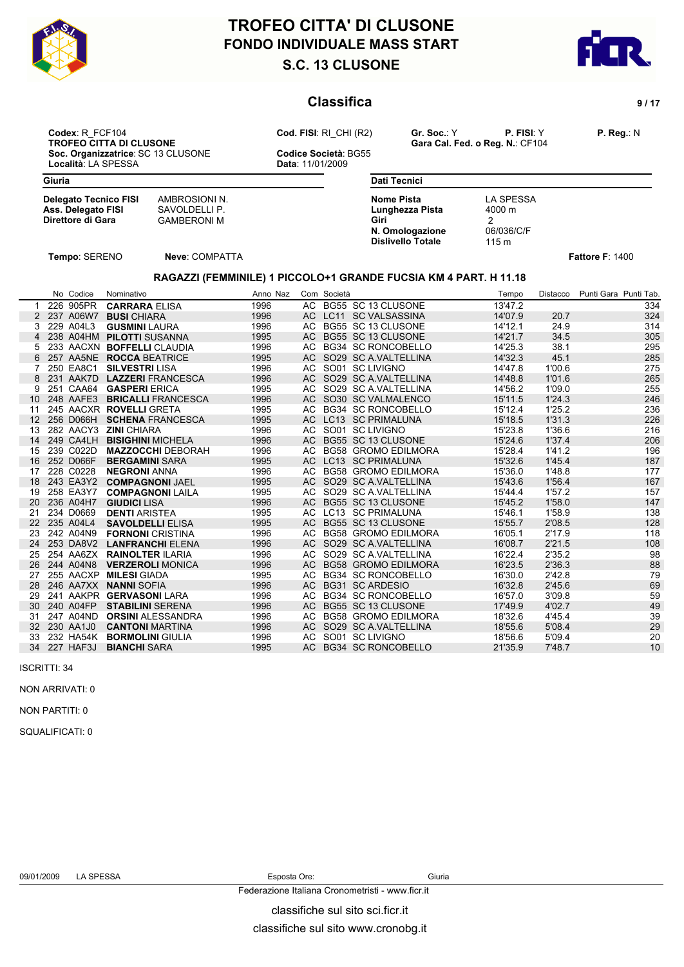



### **Classifica 9/17**

**Codex**: R\_FCF104 **Cod. FISI**: RI\_CHI (R2) **Gr. Soc.**: Y **P. FISI**: Y **P. Reg.**: N **Soc. Organizzatrice**: SC 13 CLUSONE **Codice Società**: Località: LA SPESSA **CODICAL ENCLUSONE** Località: LA SPESSA

**TROFEO CALCUS CALCUS CALCUS CALCUS CALCUS CONSUMED CONSUMERS**<br>Cara Cal. Fed. o Reg. N.: CF104

| Giuria                       |               |
|------------------------------|---------------|
| <b>Delegato Tecnico FISI</b> | AMBROSIONI N. |
| Ass. Delegato FISI           | SAVOLDELLI P. |

**Ass. Delegato FISI** SAVOLDELLI P.<br>Direttore di Gara GAMBERONI M **CAMBERONI M** GAMBERONI M

**Dati Tecnici Nome Pista** LA SPESSA<br> **Lunghezza Pista** 4000 m **Lunghezza Pista Giri** 2 **N. Omologazione** 06/036/C/F<br>**Dislivello Totale** 115 m **Dislivello Totale** 

**Tempo**: SERENO **Neve**: COMPATTA **Fattore F**: 1400

#### **RAGAZZI (FEMMINILE) 1 PICCOLO+1 GRANDE FUCSIA KM 4 PART. H 11.18**

| AC BG55 SC 13 CLUSONE<br>226 905PR<br>13'47.2<br>334<br><b>CARRARA ELISA</b><br>1996<br>AC LC11 SC VALSASSINA<br>324<br>237 A06W7<br>1996<br>14'07.9<br>20.7<br>2<br><b>BUSI CHIARA</b><br>BG55 SC 13 CLUSONE<br>229 A04L3<br><b>GUSMINI LAURA</b><br>1996<br>AC<br>14'12.1<br>24.9<br>314<br>BG55 SC 13 CLUSONE<br>238 A04HM PILOTTI SUSANNA<br>14'21.7<br>34.5<br>305<br>1995<br>AC.<br>4<br><b>BG34 SC RONCOBELLO</b><br>233 AACXN BOFFELLI CLAUDIA<br>14'25.3<br>38.1<br>295<br>1996<br>AC.<br>5<br>285<br>257 AA5NE ROCCA BEATRICE<br>1995<br>AC<br>SO29 SC A.VALTELLINA<br>14'32.3<br>45.1<br>SO01 SC LIVIGNO<br>275<br>250 EA8C1<br>1996<br>14'47.8<br>1'00.6<br><b>SILVESTRI LISA</b><br>AC.<br>AC<br>SO29 SC A VALTELLINA<br>14'48.8<br>1'01.6<br>265<br>231 AAK7D LAZZERI FRANCESCA<br>1996<br>8<br>251 CAA64<br>1995<br>AC.<br>SO29 SC A VALTELLINA<br>14'56.2<br>1'09.0<br>9<br><b>GASPERI ERICA</b><br>255<br>248 AAFE3<br>SO30 SC VALMALENCO<br>15'11.5<br>1'24.3<br>1996<br>AC<br>246<br><b>BRICALLI FRANCESCA</b><br>10 <sup>1</sup><br>245 AACXR ROVELLI GRETA<br><b>BG34 SC RONCOBELLO</b><br>15'12.4<br>1'25.2<br>236<br>1995<br>AC.<br>11<br><b>LC13 SC PRIMALUNA</b><br>15'18.5<br>1'31.3<br>256 D066H<br><b>SCHENA FRANCESCA</b><br>1995<br>AC.<br>226<br>12 <sup>7</sup><br>SO01 SC LIVIGNO<br>282 AACY3<br>1996<br>AC<br>15'23.8<br>1'36.6<br>216<br><b>ZINI CHIARA</b><br>13<br>249 CA4LH<br>BG55 SC 13 CLUSONE<br>15'24.6<br>1'37.4<br>AC<br>206<br><b>BISIGHINI MICHELA</b><br>1996<br>14<br>239 C022D<br>1'41.2<br>196<br>1996<br>AC.<br>BG58 GROMO EDILMORA<br>15'28.4<br><b>MAZZOCCHI DEBORAH</b><br>15<br>252 D066F<br>LC13 SC PRIMALUNA<br>187<br>AC.<br>15'32.6<br>1'45.4<br>16<br><b>BERGAMINI SARA</b><br>1995<br>228 C0228<br><b>BG58 GROMO EDILMORA</b><br>15'36.0<br>1'48.8<br>177<br><b>NEGRONI ANNA</b><br>1996<br>AC.<br>17<br>243 EA3Y2<br><b>COMPAGNONI JAEL</b><br>AC<br>SO29 SC A VALTELLINA<br>15'43.6<br>1'56.4<br>167<br>1995<br>18<br>258 EA3Y7<br>SO29 SC A VALTELLINA<br><b>COMPAGNONI LAILA</b><br>AC<br>15'44.4<br>1'57.2<br>157<br>19<br>1995<br>236 A04H7<br>BG55 SC 13 CLUSONE<br>15'45.2<br>1'58.0<br>147<br><b>GIUDICI LISA</b><br>1996<br>AC<br>20<br>234 D0669<br><b>DENTI ARISTEA</b><br>LC13 SC PRIMALUNA<br>1'58.9<br>1995<br>AC<br>15'46.1<br>138<br>21<br>235 A04L4<br><b>SAVOLDELLI ELISA</b><br>BG55 SC 13 CLUSONE<br>2'08.5<br>128<br>22<br>1995<br>AC.<br>15'55.7<br>242 A04N9<br><b>FORNONI CRISTINA</b><br><b>BG58 GROMO EDILMORA</b><br>16'05.1<br>2'17.9<br>118<br>23<br>1996<br>AC<br>SO29 SC A.VALTELLINA<br>2'21.5<br>253 DA8V2<br><b>LANFRANCHI ELENA</b><br>1996<br>AC<br>16'08.7<br>108<br>24<br>254 AA6ZX<br><b>RAINOLTER ILARIA</b><br>1996<br>AC.<br>SO29 SC A VALTELLINA<br>16'22.4<br>2'35.2<br>98<br>25<br>AC<br><b>BG58 GROMO EDILMORA</b><br>16'23.5<br>26<br>244 A04N8<br><b>VERZEROLI MONICA</b><br>1996<br>2'36.3<br>88<br>255 AACXP<br><b>MILESI</b> GIADA<br>AC<br><b>BG34 SC RONCOBELLO</b><br>16'30.0<br>2'42.8<br>27<br>1995<br>79<br><b>BG31 SC ARDESIO</b><br>246 AA7XX<br>AC<br>16'32.8<br>69<br><b>NANNI SOFIA</b><br>1996<br>2'45.6<br>28<br>AAKPR<br><b>GERVASONI LARA</b><br><b>BG34 SC RONCOBELLO</b><br>241<br>AC<br>16'57.0<br>3'09.8<br>59<br>29<br>1996<br>BG55 SC 13 CLUSONE<br>49<br>240 A04FP<br><b>STABILINI SERENA</b><br>17'49.9<br>4'02.7<br>30 <sup>°</sup><br>1996<br>AC<br>247 A04ND<br><b>ORSINI ALESSANDRA</b><br><b>BG58 GROMO EDILMORA</b><br>18'32.6<br>4'45.4<br>39<br>1996<br>AC.<br>31<br>29<br>230 AA1J0<br><b>CANTONI MARTINA</b><br>AC<br>SO29 SC A.VALTELLINA<br>5'08.4<br>32 <sup>2</sup><br>1996<br>18'55.6<br>SO01 SC LIVIGNO<br>232 HA54K<br><b>BORMOLINI GIULIA</b><br>1996<br>18'56.6<br>5'09.4<br>20<br>33<br>AC<br><b>BG34 SC RONCOBELLO</b><br>10<br>227 HAF3J<br><b>BIANCHI SARA</b><br>1995<br>AC.<br>21'35.9<br>7'48.7<br>34 |  | No Codice | Nominativo | Anno Naz | Com Società | Tempo | Distacco | Punti Gara Punti Tab. |
|---------------------------------------------------------------------------------------------------------------------------------------------------------------------------------------------------------------------------------------------------------------------------------------------------------------------------------------------------------------------------------------------------------------------------------------------------------------------------------------------------------------------------------------------------------------------------------------------------------------------------------------------------------------------------------------------------------------------------------------------------------------------------------------------------------------------------------------------------------------------------------------------------------------------------------------------------------------------------------------------------------------------------------------------------------------------------------------------------------------------------------------------------------------------------------------------------------------------------------------------------------------------------------------------------------------------------------------------------------------------------------------------------------------------------------------------------------------------------------------------------------------------------------------------------------------------------------------------------------------------------------------------------------------------------------------------------------------------------------------------------------------------------------------------------------------------------------------------------------------------------------------------------------------------------------------------------------------------------------------------------------------------------------------------------------------------------------------------------------------------------------------------------------------------------------------------------------------------------------------------------------------------------------------------------------------------------------------------------------------------------------------------------------------------------------------------------------------------------------------------------------------------------------------------------------------------------------------------------------------------------------------------------------------------------------------------------------------------------------------------------------------------------------------------------------------------------------------------------------------------------------------------------------------------------------------------------------------------------------------------------------------------------------------------------------------------------------------------------------------------------------------------------------------------------------------------------------------------------------------------------------------------------------------------------------------------------------------------------------------------------------------------------------------------------------------------------------------------------------------------------------------------------------------------------------------------------------------------------------------------------------------------------------------------------------------------------------------------------------------------------------------------------------------------------------------------------------------------------------------------------|--|-----------|------------|----------|-------------|-------|----------|-----------------------|
|                                                                                                                                                                                                                                                                                                                                                                                                                                                                                                                                                                                                                                                                                                                                                                                                                                                                                                                                                                                                                                                                                                                                                                                                                                                                                                                                                                                                                                                                                                                                                                                                                                                                                                                                                                                                                                                                                                                                                                                                                                                                                                                                                                                                                                                                                                                                                                                                                                                                                                                                                                                                                                                                                                                                                                                                                                                                                                                                                                                                                                                                                                                                                                                                                                                                                                                                                                                                                                                                                                                                                                                                                                                                                                                                                                                                                                                                           |  |           |            |          |             |       |          |                       |
|                                                                                                                                                                                                                                                                                                                                                                                                                                                                                                                                                                                                                                                                                                                                                                                                                                                                                                                                                                                                                                                                                                                                                                                                                                                                                                                                                                                                                                                                                                                                                                                                                                                                                                                                                                                                                                                                                                                                                                                                                                                                                                                                                                                                                                                                                                                                                                                                                                                                                                                                                                                                                                                                                                                                                                                                                                                                                                                                                                                                                                                                                                                                                                                                                                                                                                                                                                                                                                                                                                                                                                                                                                                                                                                                                                                                                                                                           |  |           |            |          |             |       |          |                       |
|                                                                                                                                                                                                                                                                                                                                                                                                                                                                                                                                                                                                                                                                                                                                                                                                                                                                                                                                                                                                                                                                                                                                                                                                                                                                                                                                                                                                                                                                                                                                                                                                                                                                                                                                                                                                                                                                                                                                                                                                                                                                                                                                                                                                                                                                                                                                                                                                                                                                                                                                                                                                                                                                                                                                                                                                                                                                                                                                                                                                                                                                                                                                                                                                                                                                                                                                                                                                                                                                                                                                                                                                                                                                                                                                                                                                                                                                           |  |           |            |          |             |       |          |                       |
|                                                                                                                                                                                                                                                                                                                                                                                                                                                                                                                                                                                                                                                                                                                                                                                                                                                                                                                                                                                                                                                                                                                                                                                                                                                                                                                                                                                                                                                                                                                                                                                                                                                                                                                                                                                                                                                                                                                                                                                                                                                                                                                                                                                                                                                                                                                                                                                                                                                                                                                                                                                                                                                                                                                                                                                                                                                                                                                                                                                                                                                                                                                                                                                                                                                                                                                                                                                                                                                                                                                                                                                                                                                                                                                                                                                                                                                                           |  |           |            |          |             |       |          |                       |
|                                                                                                                                                                                                                                                                                                                                                                                                                                                                                                                                                                                                                                                                                                                                                                                                                                                                                                                                                                                                                                                                                                                                                                                                                                                                                                                                                                                                                                                                                                                                                                                                                                                                                                                                                                                                                                                                                                                                                                                                                                                                                                                                                                                                                                                                                                                                                                                                                                                                                                                                                                                                                                                                                                                                                                                                                                                                                                                                                                                                                                                                                                                                                                                                                                                                                                                                                                                                                                                                                                                                                                                                                                                                                                                                                                                                                                                                           |  |           |            |          |             |       |          |                       |
|                                                                                                                                                                                                                                                                                                                                                                                                                                                                                                                                                                                                                                                                                                                                                                                                                                                                                                                                                                                                                                                                                                                                                                                                                                                                                                                                                                                                                                                                                                                                                                                                                                                                                                                                                                                                                                                                                                                                                                                                                                                                                                                                                                                                                                                                                                                                                                                                                                                                                                                                                                                                                                                                                                                                                                                                                                                                                                                                                                                                                                                                                                                                                                                                                                                                                                                                                                                                                                                                                                                                                                                                                                                                                                                                                                                                                                                                           |  |           |            |          |             |       |          |                       |
|                                                                                                                                                                                                                                                                                                                                                                                                                                                                                                                                                                                                                                                                                                                                                                                                                                                                                                                                                                                                                                                                                                                                                                                                                                                                                                                                                                                                                                                                                                                                                                                                                                                                                                                                                                                                                                                                                                                                                                                                                                                                                                                                                                                                                                                                                                                                                                                                                                                                                                                                                                                                                                                                                                                                                                                                                                                                                                                                                                                                                                                                                                                                                                                                                                                                                                                                                                                                                                                                                                                                                                                                                                                                                                                                                                                                                                                                           |  |           |            |          |             |       |          |                       |
|                                                                                                                                                                                                                                                                                                                                                                                                                                                                                                                                                                                                                                                                                                                                                                                                                                                                                                                                                                                                                                                                                                                                                                                                                                                                                                                                                                                                                                                                                                                                                                                                                                                                                                                                                                                                                                                                                                                                                                                                                                                                                                                                                                                                                                                                                                                                                                                                                                                                                                                                                                                                                                                                                                                                                                                                                                                                                                                                                                                                                                                                                                                                                                                                                                                                                                                                                                                                                                                                                                                                                                                                                                                                                                                                                                                                                                                                           |  |           |            |          |             |       |          |                       |
|                                                                                                                                                                                                                                                                                                                                                                                                                                                                                                                                                                                                                                                                                                                                                                                                                                                                                                                                                                                                                                                                                                                                                                                                                                                                                                                                                                                                                                                                                                                                                                                                                                                                                                                                                                                                                                                                                                                                                                                                                                                                                                                                                                                                                                                                                                                                                                                                                                                                                                                                                                                                                                                                                                                                                                                                                                                                                                                                                                                                                                                                                                                                                                                                                                                                                                                                                                                                                                                                                                                                                                                                                                                                                                                                                                                                                                                                           |  |           |            |          |             |       |          |                       |
|                                                                                                                                                                                                                                                                                                                                                                                                                                                                                                                                                                                                                                                                                                                                                                                                                                                                                                                                                                                                                                                                                                                                                                                                                                                                                                                                                                                                                                                                                                                                                                                                                                                                                                                                                                                                                                                                                                                                                                                                                                                                                                                                                                                                                                                                                                                                                                                                                                                                                                                                                                                                                                                                                                                                                                                                                                                                                                                                                                                                                                                                                                                                                                                                                                                                                                                                                                                                                                                                                                                                                                                                                                                                                                                                                                                                                                                                           |  |           |            |          |             |       |          |                       |
|                                                                                                                                                                                                                                                                                                                                                                                                                                                                                                                                                                                                                                                                                                                                                                                                                                                                                                                                                                                                                                                                                                                                                                                                                                                                                                                                                                                                                                                                                                                                                                                                                                                                                                                                                                                                                                                                                                                                                                                                                                                                                                                                                                                                                                                                                                                                                                                                                                                                                                                                                                                                                                                                                                                                                                                                                                                                                                                                                                                                                                                                                                                                                                                                                                                                                                                                                                                                                                                                                                                                                                                                                                                                                                                                                                                                                                                                           |  |           |            |          |             |       |          |                       |
|                                                                                                                                                                                                                                                                                                                                                                                                                                                                                                                                                                                                                                                                                                                                                                                                                                                                                                                                                                                                                                                                                                                                                                                                                                                                                                                                                                                                                                                                                                                                                                                                                                                                                                                                                                                                                                                                                                                                                                                                                                                                                                                                                                                                                                                                                                                                                                                                                                                                                                                                                                                                                                                                                                                                                                                                                                                                                                                                                                                                                                                                                                                                                                                                                                                                                                                                                                                                                                                                                                                                                                                                                                                                                                                                                                                                                                                                           |  |           |            |          |             |       |          |                       |
|                                                                                                                                                                                                                                                                                                                                                                                                                                                                                                                                                                                                                                                                                                                                                                                                                                                                                                                                                                                                                                                                                                                                                                                                                                                                                                                                                                                                                                                                                                                                                                                                                                                                                                                                                                                                                                                                                                                                                                                                                                                                                                                                                                                                                                                                                                                                                                                                                                                                                                                                                                                                                                                                                                                                                                                                                                                                                                                                                                                                                                                                                                                                                                                                                                                                                                                                                                                                                                                                                                                                                                                                                                                                                                                                                                                                                                                                           |  |           |            |          |             |       |          |                       |
|                                                                                                                                                                                                                                                                                                                                                                                                                                                                                                                                                                                                                                                                                                                                                                                                                                                                                                                                                                                                                                                                                                                                                                                                                                                                                                                                                                                                                                                                                                                                                                                                                                                                                                                                                                                                                                                                                                                                                                                                                                                                                                                                                                                                                                                                                                                                                                                                                                                                                                                                                                                                                                                                                                                                                                                                                                                                                                                                                                                                                                                                                                                                                                                                                                                                                                                                                                                                                                                                                                                                                                                                                                                                                                                                                                                                                                                                           |  |           |            |          |             |       |          |                       |
|                                                                                                                                                                                                                                                                                                                                                                                                                                                                                                                                                                                                                                                                                                                                                                                                                                                                                                                                                                                                                                                                                                                                                                                                                                                                                                                                                                                                                                                                                                                                                                                                                                                                                                                                                                                                                                                                                                                                                                                                                                                                                                                                                                                                                                                                                                                                                                                                                                                                                                                                                                                                                                                                                                                                                                                                                                                                                                                                                                                                                                                                                                                                                                                                                                                                                                                                                                                                                                                                                                                                                                                                                                                                                                                                                                                                                                                                           |  |           |            |          |             |       |          |                       |
|                                                                                                                                                                                                                                                                                                                                                                                                                                                                                                                                                                                                                                                                                                                                                                                                                                                                                                                                                                                                                                                                                                                                                                                                                                                                                                                                                                                                                                                                                                                                                                                                                                                                                                                                                                                                                                                                                                                                                                                                                                                                                                                                                                                                                                                                                                                                                                                                                                                                                                                                                                                                                                                                                                                                                                                                                                                                                                                                                                                                                                                                                                                                                                                                                                                                                                                                                                                                                                                                                                                                                                                                                                                                                                                                                                                                                                                                           |  |           |            |          |             |       |          |                       |
|                                                                                                                                                                                                                                                                                                                                                                                                                                                                                                                                                                                                                                                                                                                                                                                                                                                                                                                                                                                                                                                                                                                                                                                                                                                                                                                                                                                                                                                                                                                                                                                                                                                                                                                                                                                                                                                                                                                                                                                                                                                                                                                                                                                                                                                                                                                                                                                                                                                                                                                                                                                                                                                                                                                                                                                                                                                                                                                                                                                                                                                                                                                                                                                                                                                                                                                                                                                                                                                                                                                                                                                                                                                                                                                                                                                                                                                                           |  |           |            |          |             |       |          |                       |
|                                                                                                                                                                                                                                                                                                                                                                                                                                                                                                                                                                                                                                                                                                                                                                                                                                                                                                                                                                                                                                                                                                                                                                                                                                                                                                                                                                                                                                                                                                                                                                                                                                                                                                                                                                                                                                                                                                                                                                                                                                                                                                                                                                                                                                                                                                                                                                                                                                                                                                                                                                                                                                                                                                                                                                                                                                                                                                                                                                                                                                                                                                                                                                                                                                                                                                                                                                                                                                                                                                                                                                                                                                                                                                                                                                                                                                                                           |  |           |            |          |             |       |          |                       |
|                                                                                                                                                                                                                                                                                                                                                                                                                                                                                                                                                                                                                                                                                                                                                                                                                                                                                                                                                                                                                                                                                                                                                                                                                                                                                                                                                                                                                                                                                                                                                                                                                                                                                                                                                                                                                                                                                                                                                                                                                                                                                                                                                                                                                                                                                                                                                                                                                                                                                                                                                                                                                                                                                                                                                                                                                                                                                                                                                                                                                                                                                                                                                                                                                                                                                                                                                                                                                                                                                                                                                                                                                                                                                                                                                                                                                                                                           |  |           |            |          |             |       |          |                       |
|                                                                                                                                                                                                                                                                                                                                                                                                                                                                                                                                                                                                                                                                                                                                                                                                                                                                                                                                                                                                                                                                                                                                                                                                                                                                                                                                                                                                                                                                                                                                                                                                                                                                                                                                                                                                                                                                                                                                                                                                                                                                                                                                                                                                                                                                                                                                                                                                                                                                                                                                                                                                                                                                                                                                                                                                                                                                                                                                                                                                                                                                                                                                                                                                                                                                                                                                                                                                                                                                                                                                                                                                                                                                                                                                                                                                                                                                           |  |           |            |          |             |       |          |                       |
|                                                                                                                                                                                                                                                                                                                                                                                                                                                                                                                                                                                                                                                                                                                                                                                                                                                                                                                                                                                                                                                                                                                                                                                                                                                                                                                                                                                                                                                                                                                                                                                                                                                                                                                                                                                                                                                                                                                                                                                                                                                                                                                                                                                                                                                                                                                                                                                                                                                                                                                                                                                                                                                                                                                                                                                                                                                                                                                                                                                                                                                                                                                                                                                                                                                                                                                                                                                                                                                                                                                                                                                                                                                                                                                                                                                                                                                                           |  |           |            |          |             |       |          |                       |
|                                                                                                                                                                                                                                                                                                                                                                                                                                                                                                                                                                                                                                                                                                                                                                                                                                                                                                                                                                                                                                                                                                                                                                                                                                                                                                                                                                                                                                                                                                                                                                                                                                                                                                                                                                                                                                                                                                                                                                                                                                                                                                                                                                                                                                                                                                                                                                                                                                                                                                                                                                                                                                                                                                                                                                                                                                                                                                                                                                                                                                                                                                                                                                                                                                                                                                                                                                                                                                                                                                                                                                                                                                                                                                                                                                                                                                                                           |  |           |            |          |             |       |          |                       |
|                                                                                                                                                                                                                                                                                                                                                                                                                                                                                                                                                                                                                                                                                                                                                                                                                                                                                                                                                                                                                                                                                                                                                                                                                                                                                                                                                                                                                                                                                                                                                                                                                                                                                                                                                                                                                                                                                                                                                                                                                                                                                                                                                                                                                                                                                                                                                                                                                                                                                                                                                                                                                                                                                                                                                                                                                                                                                                                                                                                                                                                                                                                                                                                                                                                                                                                                                                                                                                                                                                                                                                                                                                                                                                                                                                                                                                                                           |  |           |            |          |             |       |          |                       |
|                                                                                                                                                                                                                                                                                                                                                                                                                                                                                                                                                                                                                                                                                                                                                                                                                                                                                                                                                                                                                                                                                                                                                                                                                                                                                                                                                                                                                                                                                                                                                                                                                                                                                                                                                                                                                                                                                                                                                                                                                                                                                                                                                                                                                                                                                                                                                                                                                                                                                                                                                                                                                                                                                                                                                                                                                                                                                                                                                                                                                                                                                                                                                                                                                                                                                                                                                                                                                                                                                                                                                                                                                                                                                                                                                                                                                                                                           |  |           |            |          |             |       |          |                       |
|                                                                                                                                                                                                                                                                                                                                                                                                                                                                                                                                                                                                                                                                                                                                                                                                                                                                                                                                                                                                                                                                                                                                                                                                                                                                                                                                                                                                                                                                                                                                                                                                                                                                                                                                                                                                                                                                                                                                                                                                                                                                                                                                                                                                                                                                                                                                                                                                                                                                                                                                                                                                                                                                                                                                                                                                                                                                                                                                                                                                                                                                                                                                                                                                                                                                                                                                                                                                                                                                                                                                                                                                                                                                                                                                                                                                                                                                           |  |           |            |          |             |       |          |                       |
|                                                                                                                                                                                                                                                                                                                                                                                                                                                                                                                                                                                                                                                                                                                                                                                                                                                                                                                                                                                                                                                                                                                                                                                                                                                                                                                                                                                                                                                                                                                                                                                                                                                                                                                                                                                                                                                                                                                                                                                                                                                                                                                                                                                                                                                                                                                                                                                                                                                                                                                                                                                                                                                                                                                                                                                                                                                                                                                                                                                                                                                                                                                                                                                                                                                                                                                                                                                                                                                                                                                                                                                                                                                                                                                                                                                                                                                                           |  |           |            |          |             |       |          |                       |
|                                                                                                                                                                                                                                                                                                                                                                                                                                                                                                                                                                                                                                                                                                                                                                                                                                                                                                                                                                                                                                                                                                                                                                                                                                                                                                                                                                                                                                                                                                                                                                                                                                                                                                                                                                                                                                                                                                                                                                                                                                                                                                                                                                                                                                                                                                                                                                                                                                                                                                                                                                                                                                                                                                                                                                                                                                                                                                                                                                                                                                                                                                                                                                                                                                                                                                                                                                                                                                                                                                                                                                                                                                                                                                                                                                                                                                                                           |  |           |            |          |             |       |          |                       |
|                                                                                                                                                                                                                                                                                                                                                                                                                                                                                                                                                                                                                                                                                                                                                                                                                                                                                                                                                                                                                                                                                                                                                                                                                                                                                                                                                                                                                                                                                                                                                                                                                                                                                                                                                                                                                                                                                                                                                                                                                                                                                                                                                                                                                                                                                                                                                                                                                                                                                                                                                                                                                                                                                                                                                                                                                                                                                                                                                                                                                                                                                                                                                                                                                                                                                                                                                                                                                                                                                                                                                                                                                                                                                                                                                                                                                                                                           |  |           |            |          |             |       |          |                       |
|                                                                                                                                                                                                                                                                                                                                                                                                                                                                                                                                                                                                                                                                                                                                                                                                                                                                                                                                                                                                                                                                                                                                                                                                                                                                                                                                                                                                                                                                                                                                                                                                                                                                                                                                                                                                                                                                                                                                                                                                                                                                                                                                                                                                                                                                                                                                                                                                                                                                                                                                                                                                                                                                                                                                                                                                                                                                                                                                                                                                                                                                                                                                                                                                                                                                                                                                                                                                                                                                                                                                                                                                                                                                                                                                                                                                                                                                           |  |           |            |          |             |       |          |                       |
|                                                                                                                                                                                                                                                                                                                                                                                                                                                                                                                                                                                                                                                                                                                                                                                                                                                                                                                                                                                                                                                                                                                                                                                                                                                                                                                                                                                                                                                                                                                                                                                                                                                                                                                                                                                                                                                                                                                                                                                                                                                                                                                                                                                                                                                                                                                                                                                                                                                                                                                                                                                                                                                                                                                                                                                                                                                                                                                                                                                                                                                                                                                                                                                                                                                                                                                                                                                                                                                                                                                                                                                                                                                                                                                                                                                                                                                                           |  |           |            |          |             |       |          |                       |
|                                                                                                                                                                                                                                                                                                                                                                                                                                                                                                                                                                                                                                                                                                                                                                                                                                                                                                                                                                                                                                                                                                                                                                                                                                                                                                                                                                                                                                                                                                                                                                                                                                                                                                                                                                                                                                                                                                                                                                                                                                                                                                                                                                                                                                                                                                                                                                                                                                                                                                                                                                                                                                                                                                                                                                                                                                                                                                                                                                                                                                                                                                                                                                                                                                                                                                                                                                                                                                                                                                                                                                                                                                                                                                                                                                                                                                                                           |  |           |            |          |             |       |          |                       |
|                                                                                                                                                                                                                                                                                                                                                                                                                                                                                                                                                                                                                                                                                                                                                                                                                                                                                                                                                                                                                                                                                                                                                                                                                                                                                                                                                                                                                                                                                                                                                                                                                                                                                                                                                                                                                                                                                                                                                                                                                                                                                                                                                                                                                                                                                                                                                                                                                                                                                                                                                                                                                                                                                                                                                                                                                                                                                                                                                                                                                                                                                                                                                                                                                                                                                                                                                                                                                                                                                                                                                                                                                                                                                                                                                                                                                                                                           |  |           |            |          |             |       |          |                       |
|                                                                                                                                                                                                                                                                                                                                                                                                                                                                                                                                                                                                                                                                                                                                                                                                                                                                                                                                                                                                                                                                                                                                                                                                                                                                                                                                                                                                                                                                                                                                                                                                                                                                                                                                                                                                                                                                                                                                                                                                                                                                                                                                                                                                                                                                                                                                                                                                                                                                                                                                                                                                                                                                                                                                                                                                                                                                                                                                                                                                                                                                                                                                                                                                                                                                                                                                                                                                                                                                                                                                                                                                                                                                                                                                                                                                                                                                           |  |           |            |          |             |       |          |                       |
|                                                                                                                                                                                                                                                                                                                                                                                                                                                                                                                                                                                                                                                                                                                                                                                                                                                                                                                                                                                                                                                                                                                                                                                                                                                                                                                                                                                                                                                                                                                                                                                                                                                                                                                                                                                                                                                                                                                                                                                                                                                                                                                                                                                                                                                                                                                                                                                                                                                                                                                                                                                                                                                                                                                                                                                                                                                                                                                                                                                                                                                                                                                                                                                                                                                                                                                                                                                                                                                                                                                                                                                                                                                                                                                                                                                                                                                                           |  |           |            |          |             |       |          |                       |

ISCRITTI: 34

NON ARRIVATI: 0

NON PARTITI: 0

SQUALIFICATI: 0

Federazione Italiana Cronometristi - www.ficr.it

classifiche sul sito sci.ficr.it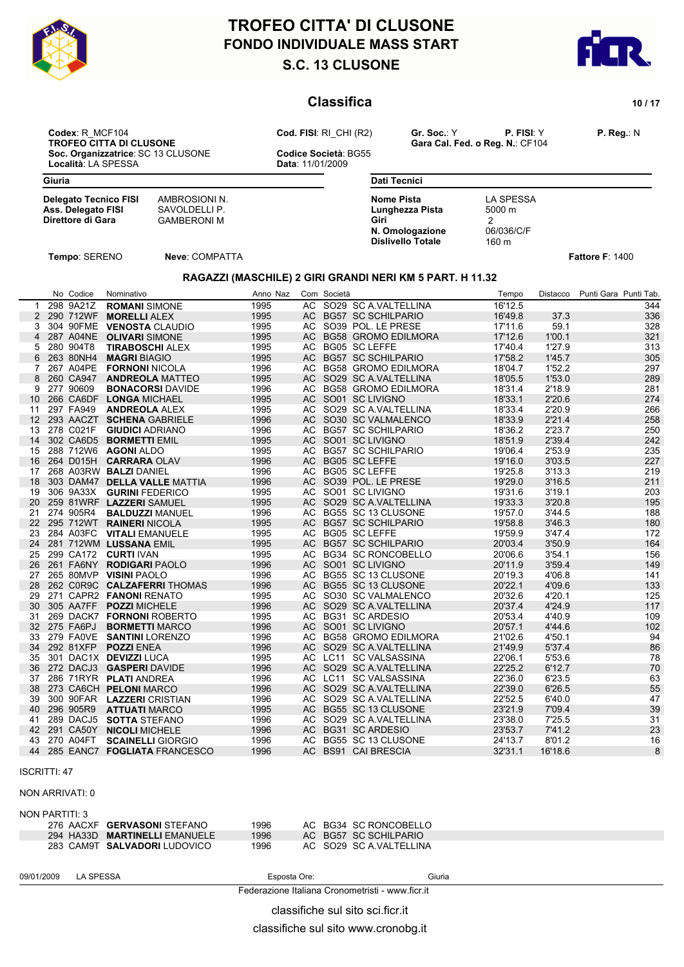



### **Classifica** 10/17

**Codex**: R\_MCF104 **Cod. FISI**: RI\_CHI (R2) **Gr. Soc.**: Y **P. FISI**: Y **P. Reg.**: N **Soc. Organizzatrice**: SC 13 CLUSONE **Codice Società**: Località: LA SPESSA **CODICAL ENCLUSONE** Località: LA SPESSA

**TROFEO CALCUS DI CALCUSO CONSEGUE CONSEGUE CONSEGUE CONSEGUE CONSEGUE CONSEGUE CONSEGUE CONSEGUE CONSEGUE CONSEGUE CONSEGUE CONSEGUE CONSEGUE CONSEGUE CONSEGUE CONSEGUE CONSEGUE CONSEGUE CONSEGUE CONSEGUE CONSEGUE CONSEGU** 

**Giuria**

**Delegato Tecnico FISI** AMBROSIONI N.<br> **Ass. Delegato FISI** SAVOLDELLI P. **Ass. Delegato FISI<br>Direttore di Gara** 

**CAMBERONI M** GAMBERONI M

**Dati Tecnici Nome Pista** LA SPESSA<br> **Lunghezza Pista** 5000 m **Lunghezza Pista Giri** 2 **N. Omologazione** 06/036/C/F<br>**Dislivello Totale** 160 m **Dislivello Totale** 

**Tempo**: SERENO **Neve**: COMPATTA **Fattore F**: 1400

#### **RAGAZZI (MASCHILE) 2 GIRI GRANDI NERI KM 5 PART. H 11.32**

|              | No Codice    | Nominativo                      | Anno Naz | Com Società |                         | Tempo   | Distacco | Punti Gara Punti Tab. |
|--------------|--------------|---------------------------------|----------|-------------|-------------------------|---------|----------|-----------------------|
| $\mathbf{1}$ | 298 9A21Z    | <b>ROMANI SIMONE</b>            | 1995     |             | AC SO29 SC A VALTELLINA | 16'12.5 |          | 344                   |
|              |              | 2 290 712WF MORELLI ALEX        | 1995     |             | AC BG57 SC SCHILPARIO   | 16'49.8 | 37.3     | 336                   |
| 3            |              | 304 90FME VENOSTA CLAUDIO       | 1995     |             | AC SO39 POL. LE PRESE   | 17'11.6 | 59.1     | 328                   |
|              |              | 4 287 A04NE OLIVARI SIMONE      | 1995     |             | AC BG58 GROMO EDILMORA  | 17'12.6 | 1'00.1   | 321                   |
| 5            | 280 904T8    | <b>TIRABOSCHI ALEX</b>          | 1995     |             | AC BG05 SC LEFFE        | 17'40.4 | 1'27.9   | 313                   |
| 6            | 263 80NH4    | <b>MAGRI BIAGIO</b>             | 1995     |             | AC BG57 SC SCHILPARIO   | 17'58.2 | 1'45.7   | 305                   |
| $\mathbf{7}$ |              | 267 A04PE FORNONI NICOLA        | 1996     |             | AC BG58 GROMO EDILMORA  | 18'04.7 | 1'52.2   | 297                   |
| 8            | 260 CA947    | <b>ANDREOLA MATTEO</b>          | 1995     |             | AC SO29 SC A VALTELLINA | 18'05.5 | 1'53.0   | 289                   |
| 9            | 277 90609    | <b>BONACORSI DAVIDE</b>         | 1996     |             | AC BG58 GROMO EDILMORA  | 18'31.4 | 2'18.9   | 281                   |
|              |              | 10 266 CA6DF LONGA MICHAEL      | 1995     |             | AC SO01 SC LIVIGNO      | 18'33.1 | 2'20.6   | 274                   |
| 11           | 297 FA949    | <b>ANDREOLA ALEX</b>            | 1995     |             | AC SO29 SC A.VALTELLINA | 18'33.4 | 2'20.9   | 266                   |
|              |              | 12 293 AACZT SCHENA GABRIELE    | 1996     |             | AC SO30 SC VALMALENCO   | 18'33.9 | 2'21.4   | 258                   |
|              | 13 278 C021F | <b>GIUDICI ADRIANO</b>          | 1996     |             | AC BG57 SC SCHILPARIO   | 18'36.2 | 2'23.7   | 250                   |
| 14           |              | 302 CA6D5 BORMETTI EMIL         | 1995     |             | AC SO01 SC LIVIGNO      | 18'51.9 | 2'39.4   | 242                   |
|              |              | 15 288 712W6 AGONI ALDO         | 1995     |             | AC BG57 SC SCHILPARIO   | 19'06.4 | 2'53.9   | 235                   |
|              |              | 16 264 D015H CARRARA OLAV       | 1996     |             | AC BG05 SC LEFFE        | 19'16.0 | 3'03.5   | 227                   |
| 17           |              | 268 A03RW BALZI DANIEL          | 1996     |             | AC BG05 SC LEFFE        | 19'25.8 | 3'13.3   | 219                   |
| 18           |              | 303 DAM47 DELLA VALLE MATTIA    | 1996     |             | AC SO39 POL. LE PRESE   | 19'29.0 | 3'16.5   | 211                   |
| 19           |              | 306 9A33X GURINI FEDERICO       | 1995     |             | AC SO01 SC LIVIGNO      | 19'31.6 | 3'19.1   | 203                   |
|              |              | 20 259 81WRF LAZZERI SAMUEL     | 1995     |             | AC SO29 SC A VALTELLINA | 19'33.3 | 3'20.8   | 195                   |
| 21           | 274 905R4    | <b>BALDUZZI MANUEL</b>          | 1996     |             | AC BG55 SC 13 CLUSONE   | 19'57.0 | 3'44.5   | 188                   |
|              |              | 22 295 712WT RAINERI NICOLA     | 1995     |             | AC BG57 SC SCHILPARIO   | 19'58.8 | 3'46.3   | 180                   |
| 23           |              | 284 A03FC VITALI EMANUELE       | 1995     |             | AC BG05 SC LEFFE        | 19'59.9 | 3'47.4   | 172                   |
|              |              | 24 281 712WM LUSSANA EMIL       | 1995     |             | AC BG57 SC SCHILPARIO   | 20'03.4 | 3'50.9   | 164                   |
| 25           |              | 299 CA172 CURTI IVAN            | 1995     |             | AC BG34 SC RONCOBELLO   | 20'06.6 | 3'54.1   | 156                   |
|              |              | 26 261 FA6NY RODIGARI PAOLO     | 1996     |             | AC SO01 SC LIVIGNO      | 20'11.9 | 3'59.4   | 149                   |
| 27           |              | 265 80MVP VISINI PAOLO          | 1996     |             | AC BG55 SC 13 CLUSONE   | 20'19.3 | 4'06.8   | 141                   |
|              |              | 28 262 COR9C CALZAFERRITHOMAS   | 1996     |             | AC BG55 SC 13 CLUSONE   | 20'22.1 | 4'09.6   | 133                   |
| 29           |              | 271 CAPR2 FANONI RENATO         | 1995     |             | AC SO30 SC VALMALENCO   | 20'32.6 | 4'20.1   | 125                   |
| 30           |              | 305 AA7FF POZZI MICHELE         | 1996     |             | AC SO29 SC A.VALTELLINA | 20'37.4 | 4'24.9   | 117                   |
| 31           |              | 269 DACK7 FORNONI ROBERTO       | 1995     |             | AC BG31 SC ARDESIO      | 20'53.4 | 4'40.9   | 109                   |
|              | 32 275 FA6PJ | <b>BORMETTI MARCO</b>           | 1996     |             | AC SO01 SC LIVIGNO      | 20'57.1 | 4'44.6   | 102                   |
| 33           |              | 279 FAOVE SANTINI LORENZO       | 1996     |             | AC BG58 GROMO EDILMORA  | 21'02.6 | 4'50.1   | 94                    |
|              |              | 34 292 81XFP POZZI ENEA         | 1996     |             | AC SO29 SC A VALTELLINA | 21'49.9 | 5'37.4   | 86                    |
| 35           |              | 301 DAC1X DEVIZZI LUCA          | 1995     |             | AC LC11 SC VALSASSINA   | 22'06.1 | 5'53.6   | 78                    |
|              |              | 36 272 DACJ3 GASPERI DAVIDE     | 1996     |             | AC SO29 SC A VALTELLINA | 22'25.2 | 6'12.7   | 70                    |
| 37           |              | 286 71RYR PLATI ANDREA          | 1996     |             | AC LC11 SC VALSASSINA   | 22'36.0 | 6'23.5   | 63                    |
|              |              | 38 273 CA6CH PELONI MARCO       | 1996     |             | AC SO29 SC A.VALTELLINA | 22'39.0 | 6'26.5   | 55                    |
| 39           |              | 300 90FAR LAZZERI CRISTIAN      | 1996     |             | AC SO29 SC A.VALTELLINA | 22'52.5 | 6'40.0   | 47                    |
|              | 40 296 905R9 | <b>ATTUATI MARCO</b>            | 1995     |             | AC BG55 SC 13 CLUSONE   | 23'21.9 | 7'09.4   | 39                    |
| 41           |              | 289 DACJ5 SOTTA STEFANO         | 1996     |             | AC SO29 SC A.VALTELLINA | 23'38.0 | 7'25.5   | 31                    |
|              |              | 42 291 CA50Y NICOLI MICHELE     | 1996     |             | AC BG31 SC ARDESIO      | 23'53.7 | 7'41.2   | 23                    |
| 43           | 270 A04FT    | <b>SCAINELLI GIORGIO</b>        | 1996     |             | AC BG55 SC 13 CLUSONE   | 24'13.7 | 8'01.2   | 16                    |
|              |              | 44 285 EANC7 FOGLIATA FRANCESCO | 1996     |             | AC BS91 CAI BRESCIA     | 32'31.1 | 16'18.6  | 8                     |

#### ISCRITTI: 47

#### NON ARRIVATI: 0

#### NON PARTITI: 3

| 276 AACXF GERVASONISTEFANO    | 1996 |  | AC BG34 SC RONCOBELLO   |
|-------------------------------|------|--|-------------------------|
| 294 HA33D MARTINELLI EMANUELE | 1996 |  | AC BG57 SC SCHILPARIO   |
| 283 CAM9T SALVADORI LUDOVICO  | 1996 |  | AC SO29 SC A VALTELLINA |

| 09/01/2009 | <b>LA SPESSA</b> | Esposta Ore: | Giuria<br>. |
|------------|------------------|--------------|-------------|
|------------|------------------|--------------|-------------|

Federazione Italiana Cronometristi - www.ficr.it

classifiche sul sito sci.ficr.it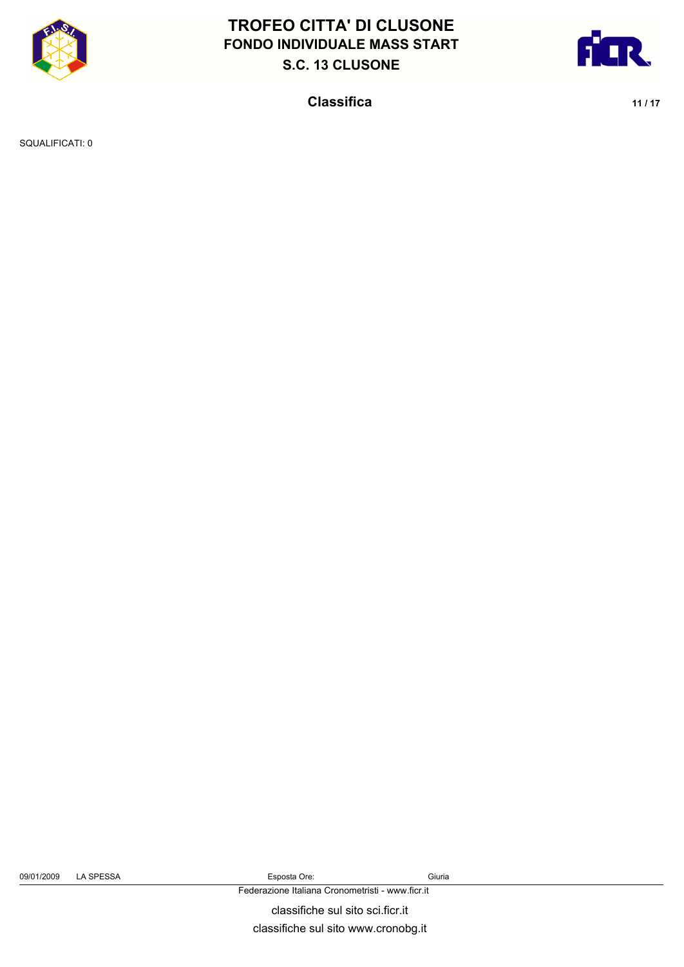



**Classifica** 11/17

SQUALIFICATI: 0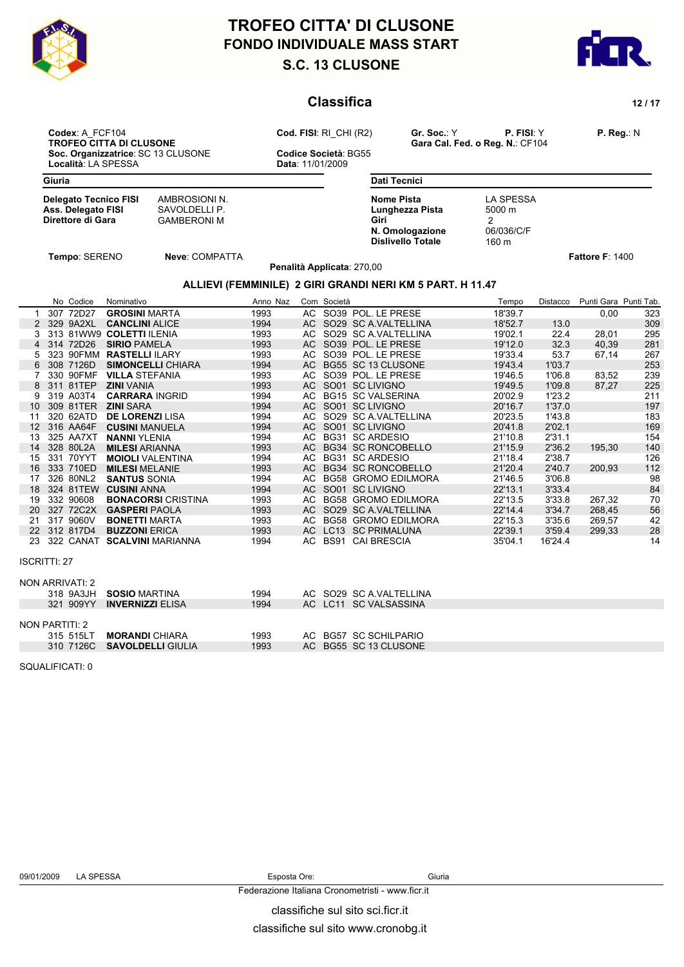



### **Classifica 12 / 17**

**Dati Tecnici**

**Lunghezza Pista** 

**Dislivello Totale** 

**Codex**: A\_FCF104 **Cod. FISI**: RI\_CHI (R2) **Gr. Soc.**: Y **P. FISI**: Y **P. Reg.**: N **Soc. Organizzatrice**: SC 13 CLUSONE **Codice Società**: Località: LA SPESSA **CODICAL ENCLUSONE** Località: LA SPESSA

**TROFEO CALCUS CALCUS CALCUS CALCUS CALCUS CONSUMED CONSUMERS**<br>Cara Cal. Fed. o Reg. N.: CF104

**Giuria**

**Delegato Tecnico FISI** AMBROSIONI N.<br> **Ass. Delegato FISI** SAVOLDELLI P. **Ass. Delegato FISI<br>Direttore di Gara** 

**CAMBERONI M** GAMBERONI M

**Nome Pista** LA SPESSA<br> **Lunghezza Pista** 5000 m **Giri** 2 **N. Omologazione** 06/036/C/F<br>**Dislivello Totale** 160 m

**Tempo**: SERENO **Neve**: COMPATTA **Fattore F**: 1400

**Penalità Applicata**: 270,00

#### **ALLIEVI (FEMMINILE) 2 GIRI GRANDI NERI KM 5 PART. H 11.47**

|                     | No Codice       | Nominativo                     | Anno Naz | Com Società |                         | Tempo   | Distacco | Punti Gara Punti Tab. |     |
|---------------------|-----------------|--------------------------------|----------|-------------|-------------------------|---------|----------|-----------------------|-----|
|                     | 307 72D27       | <b>GROSINI MARTA</b>           | 1993     |             | AC SO39 POL. LE PRESE   | 18'39.7 |          | 0,00                  | 323 |
|                     | 2 329 9A2XL     | <b>CANCLINI ALICE</b>          | 1994     |             | AC SO29 SC A.VALTELLINA | 18'52.7 | 13.0     |                       | 309 |
| 3                   |                 | 313 81WW9 COLETTI ILENIA       | 1993     |             | AC SO29 SC A.VALTELLINA | 19'02.1 | 22.4     | 28.01                 | 295 |
|                     | 4 314 72D26     | <b>SIRIO PAMELA</b>            | 1993     |             | AC SO39 POL. LE PRESE   | 19'12.0 | 32.3     | 40.39                 | 281 |
| 5                   | 323 90FMM       | <b>RASTELLI ILARY</b>          | 1993     |             | AC SO39 POL. LE PRESE   | 19'33.4 | 53.7     | 67,14                 | 267 |
| 6                   | 308 7126D       | <b>SIMONCELLI CHIARA</b>       | 1994     |             | AC BG55 SC 13 CLUSONE   | 19'43.4 | 1'03.7   |                       | 253 |
| 7                   | 330 90FMF       | <b>VILLA STEFANIA</b>          | 1993     |             | AC SO39 POL. LE PRESE   | 19'46.5 | 1'06.8   | 83,52                 | 239 |
|                     | 8 311 81TEP     | <b>ZINI VANIA</b>              | 1993     |             | AC SO01 SC LIVIGNO      | 19'49.5 | 1'09.8   | 87,27                 | 225 |
| 9                   | 319 A03T4       | <b>CARRARA INGRID</b>          | 1994     |             | AC BG15 SC VALSERINA    | 20'02.9 | 1'23.2   |                       | 211 |
| 10 <sup>°</sup>     | 309 81TER       | <b>ZINI SARA</b>               | 1994     |             | AC SO01 SC LIVIGNO      | 20'16.7 | 1'37.0   |                       | 197 |
| 11                  | 320 62ATD       | <b>DE LORENZI LISA</b>         | 1994     |             | AC SO29 SC A VALTELLINA | 20'23.5 | 1'43.8   |                       | 183 |
|                     | 12 316 AA64F    | <b>CUSINI MANUELA</b>          | 1994     |             | AC SO01 SC LIVIGNO      | 20'41.8 | 2'02.1   |                       | 169 |
| 13                  | 325 AA7XT       | <b>NANNI YLENIA</b>            | 1994     |             | AC BG31 SC ARDESIO      | 21'10.8 | 2'31.1   |                       | 154 |
| 14                  | 328 80L2A       | <b>MILESI ARIANNA</b>          | 1993     |             | AC BG34 SC RONCOBELLO   | 21'15.9 | 2'36.2   | 195,30                | 140 |
| 15                  | 331 70YYT       | <b>MOIOLI VALENTINA</b>        | 1994     |             | AC BG31 SC ARDESIO      | 21'18.4 | 2'38.7   |                       | 126 |
|                     | 16 333 710ED    | <b>MILESI MELANIE</b>          | 1993     |             | AC BG34 SC RONCOBELLO   | 21'20.4 | 2'40.7   | 200.93                | 112 |
| 17                  | 326 80NL2       | <b>SANTUS SONIA</b>            | 1994     |             | AC BG58 GROMO EDILMORA  | 21'46.5 | 3'06.8   |                       | 98  |
|                     | 18 324 81TEW    | <b>CUSINI ANNA</b>             | 1994     |             | AC SO01 SC LIVIGNO      | 22'13.1 | 3'33.4   |                       | 84  |
| 19                  | 332 90608       | <b>BONACORSI</b> CRISTINA      | 1993     |             | AC BG58 GROMO EDILMORA  | 22'13.5 | 3'33.8   | 267,32                | 70  |
|                     | 20 327 72C2X    | <b>GASPERI PAOLA</b>           | 1993     |             | AC SO29 SC A VALTELLINA | 22'14.4 | 3'34.7   | 268.45                | 56  |
| 21                  | 317 9060V       | <b>BONETTI MARTA</b>           | 1993     |             | AC BG58 GROMO EDILMORA  | 22'15.3 | 3'35.6   | 269,57                | 42  |
|                     | 22 312 817D4    | <b>BUZZONI ERICA</b>           | 1993     |             | AC LC13 SC PRIMALUNA    | 22'39.1 | 3'59.4   | 299,33                | 28  |
|                     |                 | 23 322 CANAT SCALVINI MARIANNA | 1994     |             | AC BS91 CAI BRESCIA     | 35'04.1 | 16'24.4  |                       | 14  |
| <b>ISCRITTI: 27</b> |                 |                                |          |             |                         |         |          |                       |     |
|                     | NON ARRIVATI: 2 |                                |          |             |                         |         |          |                       |     |
|                     | 318 9A3JH       | <b>SOSIO MARTINA</b>           | 1994     |             | AC SO29 SC A.VALTELLINA |         |          |                       |     |
|                     | 321 909YY       | <b>INVERNIZZI ELISA</b>        | 1994     |             | AC LC11 SC VALSASSINA   |         |          |                       |     |
|                     | NON PARTITI: 2  |                                |          |             |                         |         |          |                       |     |
|                     | 315 515LT       | <b>MORANDI CHIARA</b>          | 1993     |             | AC BG57 SC SCHILPARIO   |         |          |                       |     |
|                     | 310 7126C       | <b>SAVOLDELLI GIULIA</b>       | 1993     |             | AC BG55 SC 13 CLUSONE   |         |          |                       |     |

SQUALIFICATI: 0

Federazione Italiana Cronometristi - www.ficr.it

classifiche sul sito sci.ficr.it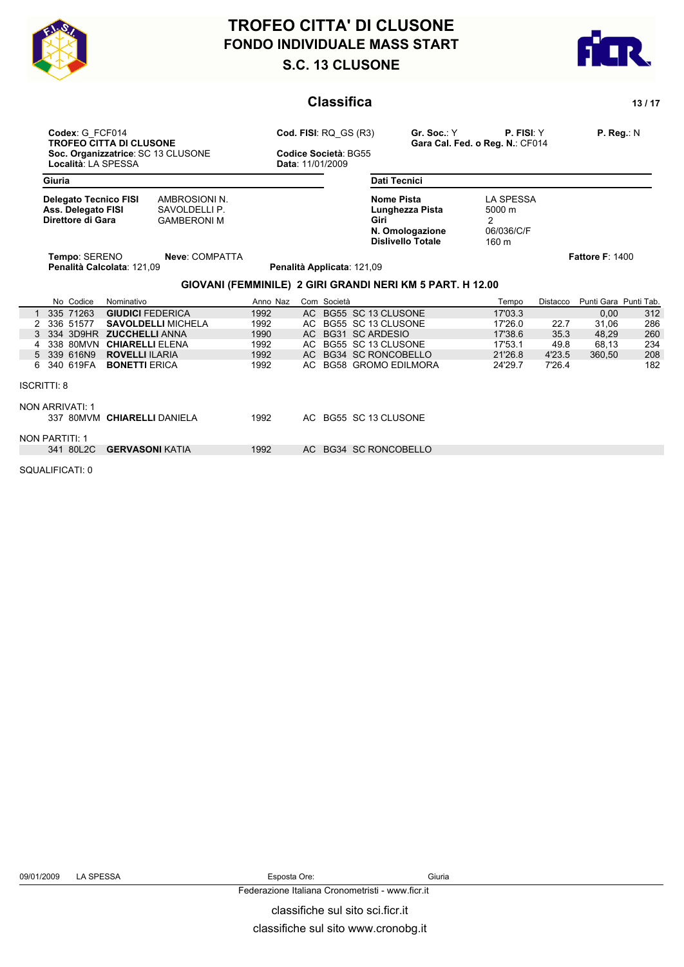



### **Classifica** 13/17

**Soc. Organizzatrice**: SC 13 CLUSONE **Codice Società**: Località: LA SPESSA **CODICAL ENCLUSONE** Località: LA SPESSA

**Codex**: G\_FCF014 **Cod. FISI**: RQ\_GS (R3) **Gr. Soc.**: Y **P. FISI**: Y **P. Reg.**: N **TROFEO CITTA DI CONSTRUCTED CONSTRUCTED CONSTRUCTED CONSTRUCTED CONSTRUCTED CONSTRUCTED CONSTRUCTED CONSTRUCTED CONSTRUCTED CONSTRUCTED CONSTRUCTED CONSTRUCTED CONSTRUCTED CONSTRUCTED CONSTRUCTED CONSTRUCTED CONSTRUCTED C** 

**Giuria**

| <b>Delegato Tecnico FISI</b> | AMBROSIONI N.      |
|------------------------------|--------------------|
| Ass. Delegato FISI           | SAVOLDELLI P.      |
| Direttore di Gara            | <b>GAMBERONI M</b> |

**DELLI P. Direction of the Gara** Garanteen Control Control Control Control Control Control Control Control Control Control Control Control Control Control Control Control Control Control Control Control Control Control Control Cont

**Dati Tecnici Nome Pista** LA SPESSA<br> **Lunghezza Pista** 5000 m **Lunghezza Pista Giri** 2 **N. Omologazione** 06/036/C/F<br>**Dislivello Totale** 160 m **Dislivello Totale** 

**Tempo**: SERENO **Neve**: COMPATTA **Fattore F**: 1400

#### **GIOVANI (FEMMINILE) 2 GIRI GRANDI NERI KM 5 PART. H 12.00**

**Penalità Calcolata**: 121,09 **Penalità Applicata**: 121,09

|  |                    | No Codice             | Nominativo                  | Anno Naz | Com Società            | Tempo   | Distacco | Punti Gara Punti Tab. |     |
|--|--------------------|-----------------------|-----------------------------|----------|------------------------|---------|----------|-----------------------|-----|
|  |                    | 335 71263             | <b>GIUDICI FEDERICA</b>     | 1992     | AC BG55 SC 13 CLUSONE  | 17'03.3 |          | 0,00                  | 312 |
|  |                    | 2 336 51577           | <b>SAVOLDELLI MICHELA</b>   | 1992     | AC BG55 SC 13 CLUSONE  | 17'26.0 | 22.7     | 31,06                 | 286 |
|  |                    | 3 334 3D9HR           | <b>ZUCCHELLI ANNA</b>       | 1990     | AC BG31 SC ARDESIO     | 17'38.6 | 35.3     | 48.29                 | 260 |
|  |                    | 4 338 80MVN           | <b>CHIARELLI ELENA</b>      | 1992     | AC BG55 SC 13 CLUSONE  | 17'53.1 | 49.8     | 68.13                 | 234 |
|  |                    | 5 339 616N9           | <b>ROVELLI ILARIA</b>       | 1992     | AC BG34 SC RONCOBELLO  | 21'26.8 | 4'23.5   | 360.50                | 208 |
|  |                    | 6 340 619FA           | <b>BONETTI ERICA</b>        | 1992     | AC BG58 GROMO EDILMORA | 24'29.7 | 7'26.4   |                       | 182 |
|  | <b>ISCRITTI: 8</b> |                       |                             |          |                        |         |          |                       |     |
|  |                    | NON ARRIVATI: 1       |                             |          |                        |         |          |                       |     |
|  |                    |                       | 337 80MVM CHIARELLI DANIELA | 1992     | AC BG55 SC 13 CLUSONE  |         |          |                       |     |
|  |                    | <b>NON PARTITI: 1</b> |                             |          |                        |         |          |                       |     |
|  |                    | 341 80L2C             | <b>GERVASONI KATIA</b>      | 1992     | AC BG34 SC RONCOBELLO  |         |          |                       |     |

SQUALIFICATI: 0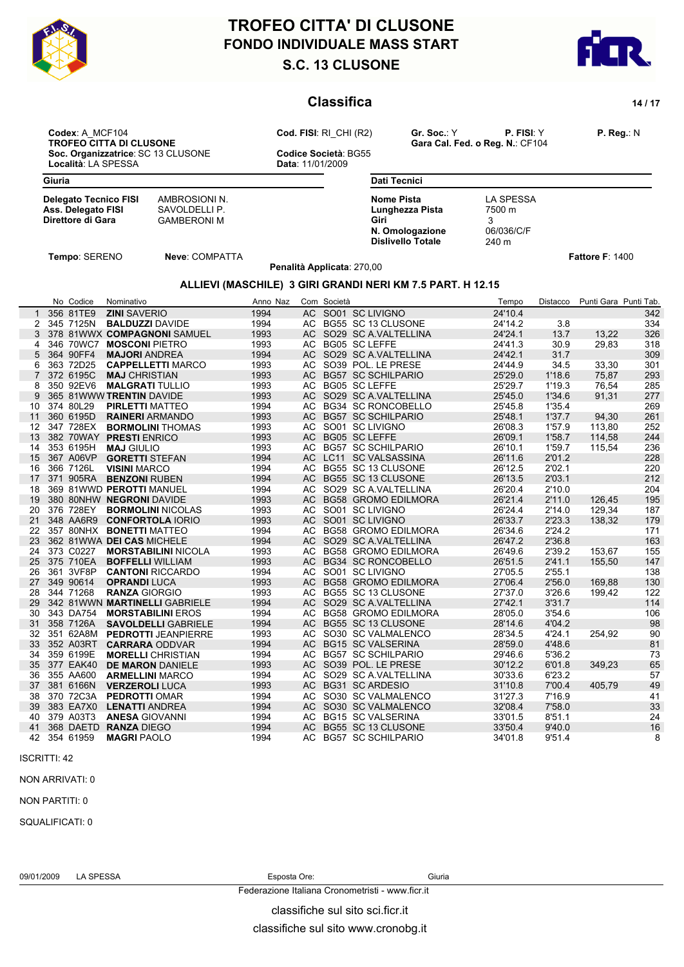



### **Classifica 14 / 17**

**Codex**: A\_MCF104 **Cod. FISI**: RI\_CHI (R2) **Gr. Soc.**: Y **P. FISI**: Y **P. Reg.**: N **Soc. Organizzatrice**: SC 13 CLUSONE **Codice Società**: Località: LA SPESSA **CODICAL ENCLUSONE** 

**TROFEO CALCUS DI CALCUSO CONSEGUE CONSEGUE CONSEGUE CONSEGUE CONSEGUE CONSEGUE CONSEGUE CONSEGUE CONSEGUE CONSEGUE CONSEGUE CONSEGUE CONSEGUE CONSEGUE CONSEGUE CONSEGUE CONSEGUE CONSEGUE CONSEGUE CONSEGUE CONSEGUE CONSEGU** 

Località: LA SPESSA

**Giuria**

**Delegato Tecnico FISI** AMBROSIONI N.<br> **Ass. Delegato FISI** SAVOLDELLI P. **Ass. Delegato FISI<br>Direttore di Gara** 

**CAMBERONI M** GAMBERONI M

**Dati Tecnici Nome Pista** LA SPESSA<br> **Lunghezza Pista** 7500 m **Lunghezza Pista Giri** 3 **N. Omologazione** 06/036/C/F<br>Dislivello Totale 240 m **Dislivello Totale** 

### **Tempo**: SERENO **Neve**: COMPATTA **Fattore F**: 1400

**Penalità Applicata**: 270,00

### **ALLIEVI (MASCHILE) 3 GIRI GRANDI NERI KM 7.5 PART. H 12.15**

|                 | No Codice    | Nominativo                    | Anno Naz |      | Com Società |                            | Tempo   | Distacco | Punti Gara Punti Tab. |     |
|-----------------|--------------|-------------------------------|----------|------|-------------|----------------------------|---------|----------|-----------------------|-----|
| $\mathbf{1}$    | 356 81TE9    | <b>ZINI SAVERIO</b>           | 1994     |      |             | AC SO01 SC LIVIGNO         | 24'10.4 |          |                       | 342 |
| 2               | 345 7125N    | <b>BALDUZZI DAVIDE</b>        | 1994     |      |             | AC BG55 SC 13 CLUSONE      | 24'14.2 | 3.8      |                       | 334 |
| 3               |              | 378 81WWX COMPAGNONI SAMUEL   | 1993     |      |             | AC SO29 SC A.VALTELLINA    | 24'24.1 | 13.7     | 13.22                 | 326 |
| 4               | 346 70WC7    | <b>MOSCONI PIETRO</b>         | 1993     |      |             | AC BG05 SC LEFFE           | 24'41.3 | 30.9     | 29.83                 | 318 |
| 5               | 364 90FF4    | <b>MAJORI ANDREA</b>          | 1994     |      |             | AC SO29 SC A VALTELLINA    | 24'42.1 | 31.7     |                       | 309 |
| 6               | 363 72D25    | <b>CAPPELLETTI MARCO</b>      | 1993     |      |             | AC SO39 POL. LE PRESE      | 24'44.9 | 34.5     | 33,30                 | 301 |
|                 | 372 6195C    | <b>MAJ CHRISTIAN</b>          | 1993     |      |             | AC BG57 SC SCHILPARIO      | 25'29.0 | 1'18.6   | 75,87                 | 293 |
| 8               | 350 92EV6    | <b>MALGRATI TULLIO</b>        | 1993     |      |             | AC BG05 SC LEFFE           | 25'29.7 | 1'19.3   | 76.54                 | 285 |
| 9               |              | 365 81WWW TRENTIN DAVIDE      | 1993     |      |             | AC SO29 SC A.VALTELLINA    | 25'45.0 | 1'34.6   | 91,31                 | 277 |
| 10              | 374 80L29    | <b>PIRLETTI MATTEO</b>        | 1994     |      |             | AC BG34 SC RONCOBELLO      | 25'45.8 | 1'35.4   |                       | 269 |
| 11              | 360 6195D    | <b>RAINERI</b> ARMANDO        | 1993     |      |             | AC BG57 SC SCHILPARIO      | 25'48.1 | 1'37.7   | 94,30                 | 261 |
|                 | 12 347 728EX | <b>BORMOLINI THOMAS</b>       | 1993     |      |             | AC SO01 SC LIVIGNO         | 26'08.3 | 1'57.9   | 113.80                | 252 |
| 13              |              | 382 70WAY PRESTI ENRICO       | 1993     |      |             | AC BG05 SC LEFFE           | 26'09.1 | 1'58.7   | 114,58                | 244 |
|                 | 14 353 6195H | <b>MAJ GIULIO</b>             | 1993     |      |             | AC BG57 SC SCHILPARIO      | 26'10.1 | 1'59.7   | 115.54                | 236 |
|                 | 15 367 A06VP | <b>GORETTI STEFAN</b>         | 1994     |      |             | AC LC11 SC VALSASSINA      | 26'11.6 | 2'01.2   |                       | 228 |
| 16              | 366 7126L    | <b>VISINI MARCO</b>           | 1994     |      |             | AC BG55 SC 13 CLUSONE      | 26'12.5 | 2'02.1   |                       | 220 |
| 17 <sup>2</sup> | 371 905RA    | <b>BENZONI RUBEN</b>          | 1994     |      |             | AC BG55 SC 13 CLUSONE      | 26'13.5 | 2'03.1   |                       | 212 |
| 18              |              | 369 81WWD PEROTTI MANUEL      | 1994     |      |             | AC SO29 SC A VALTELLINA    | 26'20.4 | 2'10.0   |                       | 204 |
| 19              |              | 380 80NHW NEGRONI DAVIDE      | 1993     |      |             | AC BG58 GROMO EDILMORA     | 26'21.4 | 2'11.0   | 126.45                | 195 |
| 20              | 376 728EY    | <b>BORMOLINI NICOLAS</b>      | 1993     |      |             | AC SO01 SC LIVIGNO         | 26'24.4 | 2'14.0   | 129,34                | 187 |
| 21              |              | 348 AA6R9 CONFORTOLA IORIO    | 1993     |      |             | AC SO01 SC LIVIGNO         | 26'33.7 | 2'23.3   | 138.32                | 179 |
| 22              |              | 357 80NHX BONETTI MATTEO      | 1994     |      |             | AC BG58 GROMO EDILMORA     | 26'34.6 | 2'24.2   |                       | 171 |
| 23              |              | 362 81WWA DEI CAS MICHELE     | 1994     |      |             | AC SO29 SC A.VALTELLINA    | 26'47.2 | 2'36.8   |                       | 163 |
| 24              | 373 C0227    | <b>MORSTABILINI NICOLA</b>    | 1993     | AC   |             | <b>BG58 GROMO EDILMORA</b> | 26'49.6 | 2'39.2   | 153,67                | 155 |
|                 | 25 375 710EA | <b>BOFFELLI WILLIAM</b>       | 1993     |      |             | AC BG34 SC RONCOBELLO      | 26'51.5 | 2'41.1   | 155.50                | 147 |
| 26              | 361 3VF8P    | <b>CANTONI RICCARDO</b>       | 1994     |      |             | AC SO01 SC LIVIGNO         | 27'05.5 | 2'55.1   |                       | 138 |
| 27              | 349 90614    | <b>OPRANDI LUCA</b>           | 1993     |      |             | AC BG58 GROMO EDILMORA     | 27'06.4 | 2'56.0   | 169.88                | 130 |
| 28              | 344 71268    | <b>RANZA GIORGIO</b>          | 1993     |      |             | AC BG55 SC 13 CLUSONE      | 27'37.0 | 3'26.6   | 199,42                | 122 |
| 29              |              | 342 81WWN MARTINELLI GABRIELE | 1994     |      |             | AC SO29 SC A VALTELLINA    | 27'42.1 | 3'31.7   |                       | 114 |
| 30              | 343 DA754    | <b>MORSTABILINI EROS</b>      | 1994     |      |             | AC BG58 GROMO EDILMORA     | 28'05.0 | 3'54.6   |                       | 106 |
| 31              | 358 7126A    | <b>SAVOLDELLI GABRIELE</b>    | 1994     |      |             | AC BG55 SC 13 CLUSONE      | 28'14.6 | 4'04.2   |                       | 98  |
| 32              | 351 62A8M    | <b>PEDROTTI JEANPIERRE</b>    | 1993     |      |             | AC SO30 SC VALMALENCO      | 28'34.5 | 4'24.1   | 254,92                | 90  |
|                 | 33 352 A03RT | <b>CARRARA ODDVAR</b>         | 1994     | AC . |             | <b>BG15 SC VALSERINA</b>   | 28'59.0 | 4'48.6   |                       | 81  |
| 34              | 359 6199E    | <b>MORELLI</b> CHRISTIAN      | 1994     |      |             | AC BG57 SC SCHILPARIO      | 29'46.6 | 5'36.2   |                       | 73  |
|                 | 35 377 EAK40 | <b>DE MARON DANIELE</b>       | 1993     |      |             | AC SO39 POL. LE PRESE      | 30'12.2 | 6'01.8   | 349,23                | 65  |
| 36              | 355 AA600    | <b>ARMELLINI MARCO</b>        | 1994     |      |             | AC SO29 SC A.VALTELLINA    | 30'33.6 | 6'23.2   |                       | 57  |
| 37              | 381 6166N    | <b>VERZEROLI LUCA</b>         | 1993     |      |             | AC BG31 SC ARDESIO         | 31'10.8 | 7'00.4   | 405,79                | 49  |
| 38              | 370 72C3A    | <b>PEDROTTI OMAR</b>          | 1994     |      |             | AC SO30 SC VALMALENCO      | 31'27.3 | 7'16.9   |                       | 41  |
| 39              | 383 EA7X0    | <b>LENATTI ANDREA</b>         | 1994     |      |             | AC SO30 SC VALMALENCO      | 32'08.4 | 7'58.0   |                       | 33  |
| 40              | 379 A03T3    | <b>ANESA GIOVANNI</b>         | 1994     | AC.  |             | <b>BG15 SC VALSERINA</b>   | 33'01.5 | 8'51.1   |                       | 24  |
| 41              |              | 368 DAETD RANZA DIEGO         | 1994     | AC . |             | BG55 SC 13 CLUSONE         | 33'50.4 | 9'40.0   |                       | 16  |
|                 | 42 354 61959 | <b>MAGRI PAOLO</b>            | 1994     |      |             | AC BG57 SC SCHILPARIO      | 34'01.8 | 9'51.4   |                       | 8   |

ISCRITTI: 42

NON ARRIVATI: 0

NON PARTITI: 0

SQUALIFICATI: 0

Federazione Italiana Cronometristi - www.ficr.it

classifiche sul sito sci.ficr.it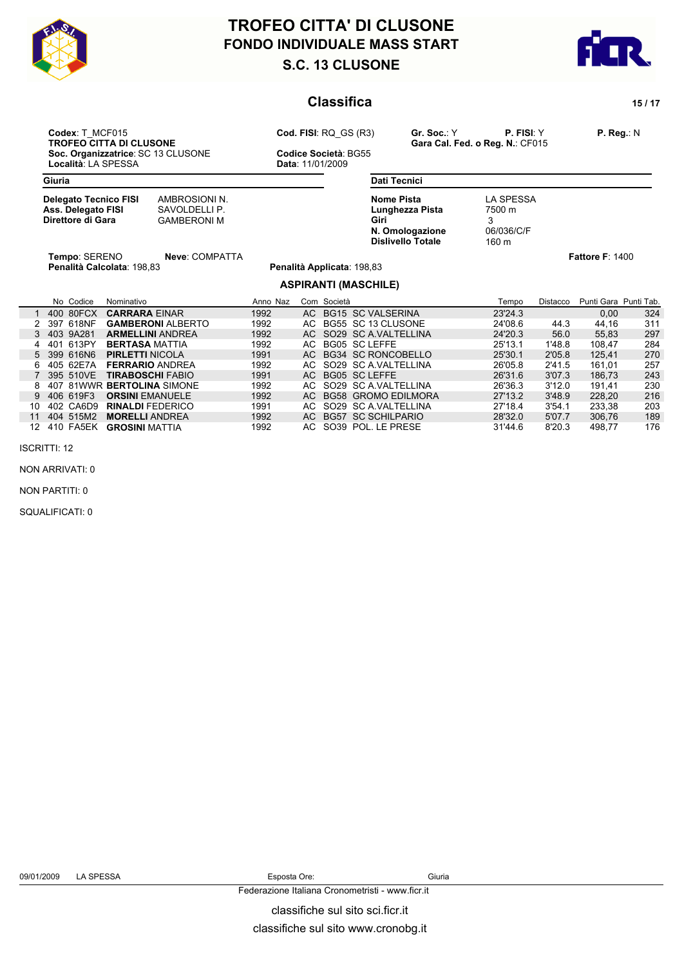



### **Classifica** 15/17

**Codex**: T\_MCF015 **Cod. FISI**: RQ\_GS (R3) **Gr. Soc.**: Y **P. FISI**: Y **P. Reg.**: N **Soc. Organizzatrice**: SC 13 CLUSONE **Codice Società**: Località: LA SPESSA **CODICAL ENCLUSONE** Località: LA SPESSA

**TROPEO COLLUS DE COLUSONER COLUSONER COLLUSONER COLLUSONER COLLUSONER COLLUSONER COLLUSONER COLLUSONER COLLUSONER COLLUSONER COLLUSONER COLLUSONER COLLUSONER COLLUSONER COLLUSONER COLLUSONER COLLUSONER COLLUSONER COLLUSON** 

| Giuria                                                                  |                                                      |          |             |  | <b>Dati Tecnici</b>                                                                         |                                                        |          |                        |     |  |
|-------------------------------------------------------------------------|------------------------------------------------------|----------|-------------|--|---------------------------------------------------------------------------------------------|--------------------------------------------------------|----------|------------------------|-----|--|
| <b>Delegato Tecnico FISI</b><br>Ass. Delegato FISI<br>Direttore di Gara | AMBROSIONI N.<br>SAVOLDELLI P.<br><b>GAMBERONI M</b> |          |             |  | <b>Nome Pista</b><br>Lunghezza Pista<br>Giri<br>N. Omologazione<br><b>Dislivello Totale</b> | <b>LA SPESSA</b><br>7500 m<br>3<br>06/036/C/F<br>160 m |          |                        |     |  |
| Tempo: SERENO                                                           | Neve: COMPATTA<br>Penalità Calcolata: 198,83         |          |             |  | Penalità Applicata: 198,83                                                                  |                                                        |          | <b>Fattore F: 1400</b> |     |  |
|                                                                         |                                                      |          |             |  | <b>ASPIRANTI (MASCHILE)</b>                                                                 |                                                        |          |                        |     |  |
| No Codice<br>Nominativo                                                 |                                                      | Anno Naz | Com Società |  |                                                                                             | Tempo                                                  | Distacco | Punti Gara Punti Tab.  |     |  |
| 400 80FCX<br><b>CARRARA EINAR</b>                                       |                                                      | 1992     |             |  | AC BG15 SC VALSERINA                                                                        | 23'24.3                                                |          | 0,00                   | 324 |  |
| 397 618NF<br>2                                                          | <b>GAMBERONI ALBERTO</b>                             | 1992     | AC          |  | BG55 SC 13 CLUSONE                                                                          | 24'08.6                                                | 44.3     | 44,16                  | 311 |  |
| 403 9A281<br><b>ARMELLINI ANDREA</b><br>3                               |                                                      | 1992     | AC .        |  | SO29 SC A.VALTELLINA                                                                        | 24'20.3                                                | 56.0     | 55,83                  | 297 |  |
| 613PY<br>401<br><b>BERTASA MATTIA</b>                                   |                                                      | 1992     | AC .        |  | BG05 SC LEFFE                                                                               | 25'13.1                                                | 1'48.8   | 108,47                 | 284 |  |
| 399 616N6<br><b>PIRLETTI NICOLA</b>                                     |                                                      | 1991     | AC.         |  | <b>BG34 SC RONCOBELLO</b>                                                                   | 25'30.1                                                | 2'05.8   | 125,41                 | 270 |  |
| 405 62E7A<br><b>FERRARIO ANDREA</b>                                     |                                                      | 1992     | AC.         |  | SO29 SC A VALTELLINA                                                                        | 26'05.8                                                | 2'41.5   | 161,01                 | 257 |  |
| 395 510VE<br><b>TIRABOSCHI FABIO</b>                                    |                                                      | 1991     | AC.         |  | <b>BG05 SC LEFFE</b>                                                                        | 26'31.6                                                | 3'07.3   | 186,73                 | 243 |  |
| 81WWR BERTOLINA SIMONE<br>407                                           |                                                      | 1992     | AC.         |  | SO29 SC A VALTELLINA                                                                        | 26'36.3                                                | 3'12.0   | 191,41                 | 230 |  |
| 406 619F3<br><b>ORSINI EMANUELE</b>                                     |                                                      | 1992     | AC.         |  | <b>BG58 GROMO EDILMORA</b>                                                                  | 27'13.2                                                | 3'48.9   | 228,20                 | 216 |  |
| 402 CA6D9<br>10<br><b>RINALDI FEDERICO</b>                              |                                                      | 1991     | AC.         |  | SO29 SC A VALTELLINA                                                                        | 27'18.4                                                | 3'54.1   | 233,38                 | 203 |  |
| 404 515M2<br><b>MORELLI ANDREA</b><br>11                                |                                                      | 1992     | AC.         |  | <b>BG57 SC SCHILPARIO</b>                                                                   | 28'32.0                                                | 5'07.7   | 306,76                 | 189 |  |
| 410 FA5EK<br>12<br><b>GROSINI MATTIA</b>                                |                                                      | 1992     | AC.         |  | SO39 POL. LE PRESE                                                                          | 31'44.6                                                | 8'20.3   | 498,77                 | 176 |  |

ISCRITTI: 12

NON ARRIVATI: 0

NON PARTITI: 0

SQUALIFICATI: 0

09/01/2009 LA SPESSA Esposta Ore: Giuria

classifiche sul sito sci.ficr.it Federazione Italiana Cronometristi - www.ficr.it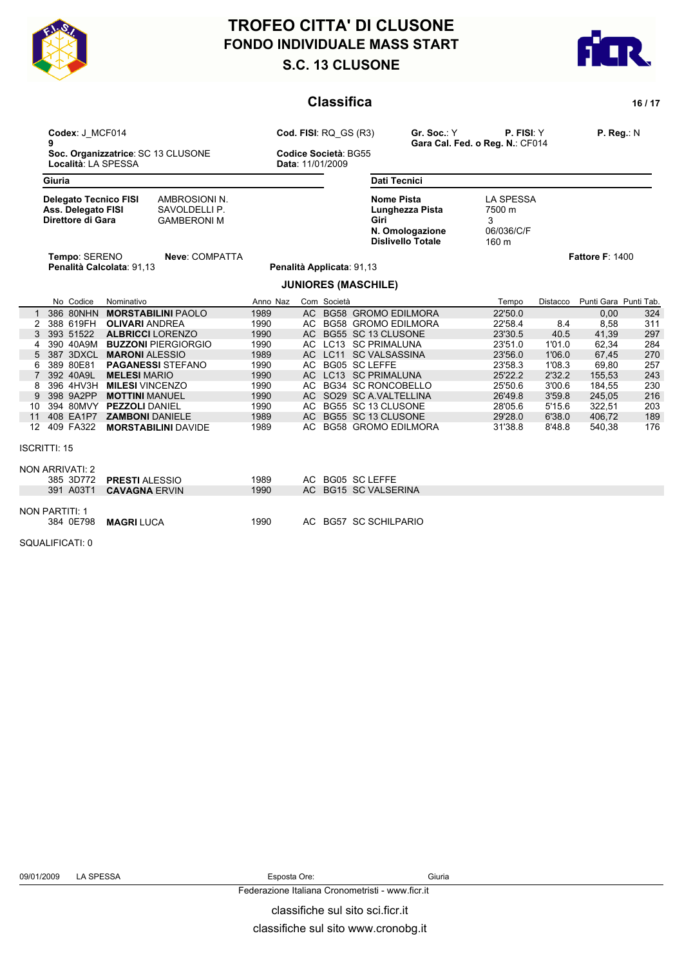



|                | <b>Classifica</b>                                                       |                                                      |              |     |                                               |                                                                                             |                                                        |                  |                        |            |
|----------------|-------------------------------------------------------------------------|------------------------------------------------------|--------------|-----|-----------------------------------------------|---------------------------------------------------------------------------------------------|--------------------------------------------------------|------------------|------------------------|------------|
|                | Codex: J MCF014<br>9<br>Soc. Organizzatrice: SC 13 CLUSONE              |                                                      |              |     | Cod. FISI: RQ GS (R3)<br>Codice Società: BG55 | Gr. Soc.: Y                                                                                 | P. FISI: Y<br>Gara Cal. Fed. o Reg. N.: CF014          |                  | $P.$ Reg.: N           |            |
|                | Località: LA SPESSA                                                     |                                                      |              |     | Data: 11/01/2009                              |                                                                                             |                                                        |                  |                        |            |
|                | Giuria                                                                  |                                                      |              |     | <b>Dati Tecnici</b>                           |                                                                                             |                                                        |                  |                        |            |
|                | <b>Delegato Tecnico FISI</b><br>Ass. Delegato FISI<br>Direttore di Gara | AMBROSIONI N.<br>SAVOLDELLI P.<br><b>GAMBERONI M</b> |              |     |                                               | <b>Nome Pista</b><br>Lunghezza Pista<br>Giri<br>N. Omologazione<br><b>Dislivello Totale</b> | <b>LA SPESSA</b><br>7500 m<br>3<br>06/036/C/F<br>160 m |                  |                        |            |
|                | Tempo: SERENO                                                           | Neve: COMPATTA<br>Penalità Calcolata: 91,13          |              |     | Penalità Applicata: 91,13                     |                                                                                             |                                                        |                  | <b>Fattore F: 1400</b> |            |
|                |                                                                         |                                                      |              |     |                                               | <b>JUNIORES (MASCHILE)</b>                                                                  |                                                        |                  |                        |            |
|                | No Codice                                                               | Nominativo                                           | Anno Naz     |     | Com Società                                   |                                                                                             | Tempo                                                  | Distacco         | Punti Gara Punti Tab.  |            |
|                | 386 80NHN                                                               | <b>MORSTABILINI PAOLO</b>                            | 1989         |     |                                               | AC BG58 GROMO EDILMORA                                                                      | 22'50.0                                                |                  | 0.00                   | 324        |
| $\overline{2}$ | 388 619FH                                                               | <b>OLIVARI ANDREA</b>                                | 1990         |     |                                               | AC BG58 GROMO EDILMORA                                                                      | 22'58.4                                                | 8.4              | 8,58                   | 311        |
| 3              | 393 51522                                                               | <b>ALBRICCI</b> LORENZO                              | 1990         |     |                                               | AC BG55 SC 13 CLUSONE                                                                       | 23'30.5                                                | 40.5             | 41,39                  | 297        |
| 4              | 390 40A9M                                                               | <b>BUZZONI PIERGIORGIO</b>                           | 1990         |     |                                               | AC LC13 SC PRIMALUNA                                                                        | 23'51.0                                                | 1'01.0           | 62.34                  | 284        |
| 5              | 387 3DXCL                                                               | <b>MARONI ALESSIO</b>                                | 1989         |     |                                               | AC LC11 SC VALSASSINA                                                                       | 23'56.0                                                | 1'06.0           | 67,45                  | 270        |
| 6              | 389 80E81                                                               | <b>PAGANESSI STEFANO</b>                             | 1990         |     |                                               | AC BG05 SC LEFFE                                                                            | 23'58.3                                                | 1'08.3           | 69,80                  | 257        |
|                | 392 40A9L<br>396 4HV3H                                                  | <b>MELESI MARIO</b>                                  | 1990<br>1990 |     |                                               | AC LC13 SC PRIMALUNA<br>AC BG34 SC RONCOBELLO                                               | 25'22.2<br>25'50.6                                     | 2'32.2<br>3'00.6 | 155,53                 | 243<br>230 |
| 8<br>9         | 398 9A2PP                                                               | <b>MILESI</b> VINCENZO<br><b>MOTTINI MANUEL</b>      | 1990         |     |                                               | AC SO29 SC A.VALTELLINA                                                                     | 26'49.8                                                | 3'59.8           | 184,55<br>245.05       | 216        |
| 10             |                                                                         | 394 80MVY PEZZOLI DANIEL                             | 1990         | AC  |                                               | BG55 SC 13 CLUSONE                                                                          | 28'05.6                                                | 5'15.6           | 322,51                 | 203        |
| 11             | 408 EA1P7                                                               | <b>ZAMBONI DANIELE</b>                               | 1989         | AC  |                                               | BG55 SC 13 CLUSONE                                                                          | 29'28.0                                                | 6'38.0           | 406,72                 | 189        |
| 12             | 409 FA322                                                               | <b>MORSTABILINI DAVIDE</b>                           | 1989         |     |                                               | AC BG58 GROMO EDILMORA                                                                      | 31'38.8                                                | 8'48.8           | 540,38                 | 176        |
|                | <b>ISCRITTI: 15</b>                                                     |                                                      |              |     |                                               |                                                                                             |                                                        |                  |                        |            |
|                | <b>NON ARRIVATI: 2</b>                                                  |                                                      |              |     |                                               |                                                                                             |                                                        |                  |                        |            |
|                | 385 3D772                                                               | <b>PRESTI ALESSIO</b>                                | 1989         | AC. |                                               | <b>BG05 SC LEFFE</b>                                                                        |                                                        |                  |                        |            |
|                | 391 A03T1                                                               | <b>CAVAGNA ERVIN</b>                                 | 1990         |     |                                               | AC BG15 SC VALSERINA                                                                        |                                                        |                  |                        |            |
|                | <b>NON PARTITI: 1</b><br>384 0E798                                      | <b>MAGRI LUCA</b>                                    | 1990         |     |                                               | AC BG57 SC SCHILPARIO                                                                       |                                                        |                  |                        |            |
|                | SQUALIFICATI: 0                                                         |                                                      |              |     |                                               |                                                                                             |                                                        |                  |                        |            |
|                |                                                                         |                                                      |              |     |                                               |                                                                                             |                                                        |                  |                        |            |
|                |                                                                         |                                                      |              |     |                                               |                                                                                             |                                                        |                  |                        |            |

#### 09/01/2009 LA SPESSA Esposta Ore: Giuria